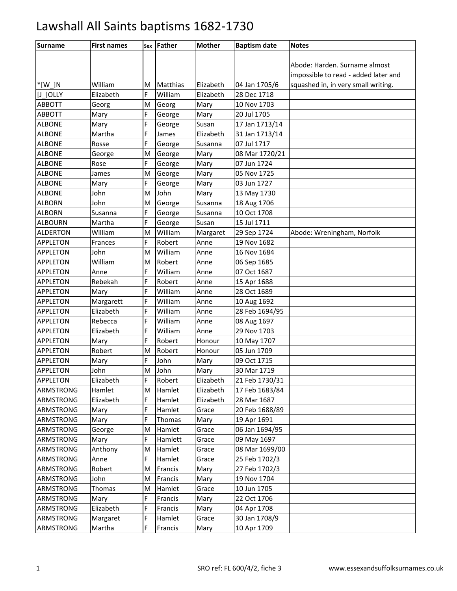| <b>Surname</b>   | <b>First names</b> | Sex | Father   | <b>Mother</b> | <b>Baptism date</b> | <b>Notes</b>                         |
|------------------|--------------------|-----|----------|---------------|---------------------|--------------------------------------|
|                  |                    |     |          |               |                     |                                      |
|                  |                    |     |          |               |                     | Abode: Harden. Surname almost        |
|                  |                    |     |          |               |                     | impossible to read - added later and |
| $*$ [W ]N        | William            | м   | Matthias | Elizabeth     | 04 Jan 1705/6       | squashed in, in very small writing.  |
| $[J_$ JOLLY      | Elizabeth          | F   | William  | Elizabeth     | 28 Dec 1718         |                                      |
| <b>ABBOTT</b>    | Georg              | M   | Georg    | Mary          | 10 Nov 1703         |                                      |
| <b>ABBOTT</b>    | Mary               | F   | George   | Mary          | 20 Jul 1705         |                                      |
| <b>ALBONE</b>    | Mary               | F   | George   | Susan         | 17 Jan 1713/14      |                                      |
| <b>ALBONE</b>    | Martha             | F   | James    | Elizabeth     | 31 Jan 1713/14      |                                      |
| <b>ALBONE</b>    | Rosse              | F.  | George   | Susanna       | 07 Jul 1717         |                                      |
| <b>ALBONE</b>    | George             | M   | George   | Mary          | 08 Mar 1720/21      |                                      |
| <b>ALBONE</b>    | Rose               | F   | George   | Mary          | 07 Jun 1724         |                                      |
| <b>ALBONE</b>    | James              | M   | George   | Mary          | 05 Nov 1725         |                                      |
| <b>ALBONE</b>    | Mary               | F   | George   | Mary          | 03 Jun 1727         |                                      |
| <b>ALBONE</b>    | John               | M   | John     | Mary          | 13 May 1730         |                                      |
| <b>ALBORN</b>    | John               | M   | George   | Susanna       | 18 Aug 1706         |                                      |
| <b>ALBORN</b>    | Susanna            | F   | George   | Susanna       | 10 Oct 1708         |                                      |
| <b>ALBOURN</b>   | Martha             | F   | George   | Susan         | 15 Jul 1711         |                                      |
| <b>ALDERTON</b>  | William            | M   | William  | Margaret      | 29 Sep 1724         | Abode: Wreningham, Norfolk           |
| <b>APPLETON</b>  | Frances            | F   | Robert   | Anne          | 19 Nov 1682         |                                      |
| <b>APPLETON</b>  | John               | M   | William  | Anne          | 16 Nov 1684         |                                      |
| <b>APPLETON</b>  | William            | M   | Robert   | Anne          | 06 Sep 1685         |                                      |
| <b>APPLETON</b>  | Anne               | F   | William  | Anne          | 07 Oct 1687         |                                      |
| <b>APPLETON</b>  | Rebekah            | F   | Robert   | Anne          | 15 Apr 1688         |                                      |
| <b>APPLETON</b>  | Mary               | F   | William  | Anne          | 28 Oct 1689         |                                      |
| <b>APPLETON</b>  | Margarett          | F   | William  | Anne          | 10 Aug 1692         |                                      |
| <b>APPLETON</b>  | Elizabeth          | F   | William  | Anne          | 28 Feb 1694/95      |                                      |
| <b>APPLETON</b>  | Rebecca            | F   | William  | Anne          | 08 Aug 1697         |                                      |
| <b>APPLETON</b>  | Elizabeth          | F   | William  | Anne          | 29 Nov 1703         |                                      |
| <b>APPLETON</b>  | Mary               | F.  | Robert   | Honour        | 10 May 1707         |                                      |
| <b>APPLETON</b>  | Robert             | M   | Robert   | Honour        | 05 Jun 1709         |                                      |
| <b>APPLETON</b>  | Mary               | F   | John     | Mary          | 09 Oct 1715         |                                      |
| <b>APPLETON</b>  | John               | M   | John     | Mary          | 30 Mar 1719         |                                      |
| <b>APPLETON</b>  | Elizabeth          | F   | Robert   | Elizabeth     | 21 Feb 1730/31      |                                      |
| <b>ARMSTRONG</b> | Hamlet             | M   | Hamlet   | Elizabeth     | 17 Feb 1683/84      |                                      |
| <b>ARMSTRONG</b> | Elizabeth          | F   | Hamlet   | Elizabeth     | 28 Mar 1687         |                                      |
| ARMSTRONG        | Mary               | F   | Hamlet   | Grace         | 20 Feb 1688/89      |                                      |
| <b>ARMSTRONG</b> | Mary               | F   | Thomas   | Mary          | 19 Apr 1691         |                                      |
| ARMSTRONG        | George             | M   | Hamlet   | Grace         | 06 Jan 1694/95      |                                      |
| ARMSTRONG        | Mary               | F   | Hamlett  | Grace         | 09 May 1697         |                                      |
| <b>ARMSTRONG</b> | Anthony            | M   | Hamlet   | Grace         | 08 Mar 1699/00      |                                      |
| ARMSTRONG        | Anne               | F   | Hamlet   | Grace         | 25 Feb 1702/3       |                                      |
| <b>ARMSTRONG</b> | Robert             | M   | Francis  | Mary          | 27 Feb 1702/3       |                                      |
| <b>ARMSTRONG</b> | John               | M   | Francis  | Mary          | 19 Nov 1704         |                                      |
| <b>ARMSTRONG</b> | Thomas             | M   | Hamlet   | Grace         | 10 Jun 1705         |                                      |
| <b>ARMSTRONG</b> | Mary               | F   | Francis  | Mary          | 22 Oct 1706         |                                      |
| ARMSTRONG        | Elizabeth          | F   | Francis  | Mary          | 04 Apr 1708         |                                      |
| <b>ARMSTRONG</b> | Margaret           | F   | Hamlet   | Grace         | 30 Jan 1708/9       |                                      |
| ARMSTRONG        | Martha             | F.  | Francis  | Mary          | 10 Apr 1709         |                                      |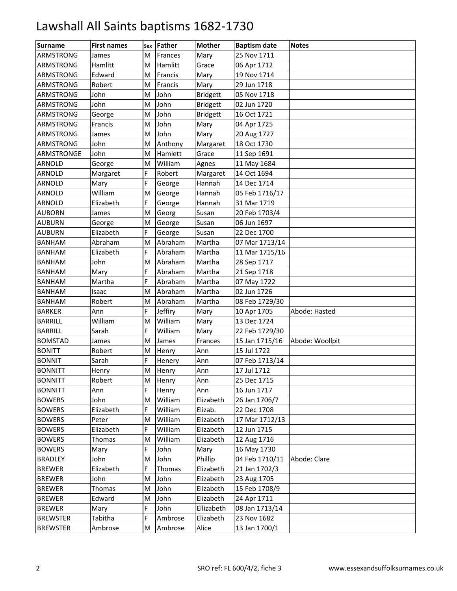| <b>Surname</b>   | <b>First names</b> | Sex | <b>Father</b> | <b>Mother</b>   | <b>Baptism date</b> | <b>Notes</b>    |
|------------------|--------------------|-----|---------------|-----------------|---------------------|-----------------|
| ARMSTRONG        | James              | M   | Frances       | Mary            | 25 Nov 1711         |                 |
| ARMSTRONG        | Hamlitt            | M   | Hamlitt       | Grace           | 06 Apr 1712         |                 |
| ARMSTRONG        | Edward             | M   | Francis       | Mary            | 19 Nov 1714         |                 |
| <b>ARMSTRONG</b> | Robert             | M   | Francis       | Mary            | 29 Jun 1718         |                 |
| ARMSTRONG        | John               | M   | John          | <b>Bridgett</b> | 05 Nov 1718         |                 |
| ARMSTRONG        | John               | M   | John          | <b>Bridgett</b> | 02 Jun 1720         |                 |
| ARMSTRONG        | George             | M   | John          | <b>Bridgett</b> | 16 Oct 1721         |                 |
| ARMSTRONG        | Francis            | M   | John          | Mary            | 04 Apr 1725         |                 |
| <b>ARMSTRONG</b> | James              | M   | John          | Mary            | 20 Aug 1727         |                 |
| ARMSTRONG        | John               | M   | Anthony       | Margaret        | 18 Oct 1730         |                 |
| ARMSTRONGE       | John               | M   | Hamlett       | Grace           | 11 Sep 1691         |                 |
| ARNOLD           | George             | M   | William       | Agnes           | 11 May 1684         |                 |
| ARNOLD           | Margaret           | E.  | Robert        | Margaret        | 14 Oct 1694         |                 |
| ARNOLD           | Mary               | E.  | George        | Hannah          | 14 Dec 1714         |                 |
| <b>ARNOLD</b>    | William            | M   | George        | Hannah          | 05 Feb 1716/17      |                 |
| ARNOLD           | Elizabeth          | Ë   | George        | Hannah          | 31 Mar 1719         |                 |
| <b>AUBORN</b>    | James              | M   | Georg         | Susan           | 20 Feb 1703/4       |                 |
| <b>AUBURN</b>    | George             | M   | George        | Susan           | 06 Jun 1697         |                 |
| <b>AUBURN</b>    | Elizabeth          | E.  | George        | Susan           | 22 Dec 1700         |                 |
| <b>BANHAM</b>    | Abraham            | M   | Abraham       | Martha          | 07 Mar 1713/14      |                 |
| <b>BANHAM</b>    | Elizabeth          | F   | Abraham       | Martha          | 11 Mar 1715/16      |                 |
| <b>BANHAM</b>    | John               | M   | Abraham       | Martha          | 28 Sep 1717         |                 |
| <b>BANHAM</b>    | Mary               | F.  | Abraham       | Martha          | 21 Sep 1718         |                 |
| <b>BANHAM</b>    | Martha             | E.  | Abraham       | Martha          | 07 May 1722         |                 |
| <b>BANHAM</b>    | Isaac              | M   | Abraham       | Martha          | 02 Jun 1726         |                 |
| <b>BANHAM</b>    | Robert             | м   | Abraham       | Martha          | 08 Feb 1729/30      |                 |
| <b>BARKER</b>    | Ann                | F   | Jeffiry       | Mary            | 10 Apr 1705         | Abode: Hasted   |
| <b>BARRILL</b>   | William            | M   | William       | Mary            | 13 Dec 1724         |                 |
| <b>BARRILL</b>   | Sarah              | E.  | William       | Mary            | 22 Feb 1729/30      |                 |
| <b>BOMSTAD</b>   | James              | M   | James         | Frances         | 15 Jan 1715/16      | Abode: Woollpit |
| <b>BONITT</b>    | Robert             | м   | Henry         | Ann             | 15 Jul 1722         |                 |
| <b>BONNIT</b>    | Sarah              | F   | Henery        | Ann             | 07 Feb 1713/14      |                 |
| <b>BONNITT</b>   | Henry              | M   | Henry         | Ann             | 17 Jul 1712         |                 |
| <b>BONNITT</b>   | Robert             | м   | Henry         | Ann             | 25 Dec 1715         |                 |
| <b>BONNITT</b>   | Ann                | F   | Henry         | Ann             | 16 Jun 1717         |                 |
| <b>BOWERS</b>    | John               | M   | William       | Elizabeth       | 26 Jan 1706/7       |                 |
| <b>BOWERS</b>    | Elizabeth          | F   | William       | Elizab.         | 22 Dec 1708         |                 |
| <b>BOWERS</b>    | Peter              | M   | William       | Elizabeth       | 17 Mar 1712/13      |                 |
| <b>BOWERS</b>    | Elizabeth          | F.  | William       | Elizabeth       | 12 Jun 1715         |                 |
| <b>BOWERS</b>    | Thomas             | M   | William       | Elizabeth       | 12 Aug 1716         |                 |
| <b>BOWERS</b>    | Mary               | F   | John          | Mary            | 16 May 1730         |                 |
| <b>BRADLEY</b>   | John               | M   | John          | Phillip         | 04 Feb 1710/11      | Abode: Clare    |
| <b>BREWER</b>    | Elizabeth          | F.  | Thomas        | Elizabeth       | 21 Jan 1702/3       |                 |
| <b>BREWER</b>    | John               | M   | John          | Elizabeth       | 23 Aug 1705         |                 |
| <b>BREWER</b>    | Thomas             | M   | John          | Elizabeth       | 15 Feb 1708/9       |                 |
| <b>BREWER</b>    | Edward             | M   | John          | Elizabeth       | 24 Apr 1711         |                 |
| <b>BREWER</b>    | Mary               | F   | John          | Ellizabeth      | 08 Jan 1713/14      |                 |
| <b>BREWSTER</b>  | Tabitha            | F   | Ambrose       | Elizabeth       | 23 Nov 1682         |                 |
| <b>BREWSTER</b>  | Ambrose            | M   | Ambrose       | Alice           | 13 Jan 1700/1       |                 |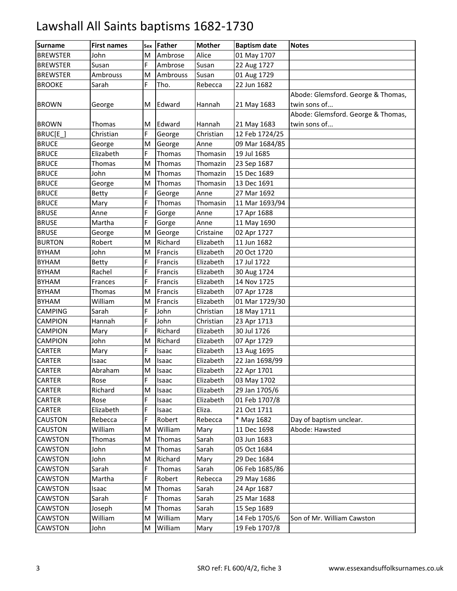| <b>Surname</b>  | <b>First names</b> | Sex | Father       | <b>Mother</b> | <b>Baptism date</b> | <b>Notes</b>                       |
|-----------------|--------------------|-----|--------------|---------------|---------------------|------------------------------------|
| <b>BREWSTER</b> | John               | M   | Ambrose      | Alice         | 01 May 1707         |                                    |
| <b>BREWSTER</b> | Susan              | F   | Ambrose      | Susan         | 22 Aug 1727         |                                    |
| <b>BREWSTER</b> | Ambrouss           | M   | Ambrouss     | Susan         | 01 Aug 1729         |                                    |
| <b>BROOKE</b>   | Sarah              | F.  | Tho.         | Rebecca       | 22 Jun 1682         |                                    |
|                 |                    |     |              |               |                     | Abode: Glemsford. George & Thomas, |
| <b>BROWN</b>    | George             | M   | Edward       | Hannah        | 21 May 1683         | twin sons of                       |
|                 |                    |     |              |               |                     | Abode: Glemsford. George & Thomas, |
| <b>BROWN</b>    | Thomas             | M   | Edward       | Hannah        | 21 May 1683         | twin sons of                       |
| BRUC[E]         | Christian          | F.  | George       | Christian     | 12 Feb 1724/25      |                                    |
| <b>BRUCE</b>    | George             | M   | George       | Anne          | 09 Mar 1684/85      |                                    |
| <b>BRUCE</b>    | Elizabeth          | F   | Thomas       | Thomasin      | 19 Jul 1685         |                                    |
| <b>BRUCE</b>    | Thomas             | M   | Thomas       | Thomazin      | 23 Sep 1687         |                                    |
| <b>BRUCE</b>    | John               | M   | Thomas       | Thomazin      | 15 Dec 1689         |                                    |
| <b>BRUCE</b>    | George             | M   | Thomas       | Thomasin      | 13 Dec 1691         |                                    |
| <b>BRUCE</b>    | <b>Betty</b>       | F   | George       | Anne          | 27 Mar 1692         |                                    |
| <b>BRUCE</b>    | Mary               | F   | Thomas       | Thomasin      | 11 Mar 1693/94      |                                    |
| <b>BRUSE</b>    | Anne               | F   | Gorge        | Anne          | 17 Apr 1688         |                                    |
| <b>BRUSE</b>    | Martha             | F   | Gorge        | Anne          | 11 May 1690         |                                    |
| <b>BRUSE</b>    | George             | M   | George       | Cristaine     | 02 Apr 1727         |                                    |
| <b>BURTON</b>   | Robert             | M   | Richard      | Elizabeth     | 11 Jun 1682         |                                    |
| <b>BYHAM</b>    | John               | M   | Francis      | Elizabeth     | 20 Oct 1720         |                                    |
| <b>BYHAM</b>    | <b>Betty</b>       | F   | Francis      | Elizabeth     | 17 Jul 1722         |                                    |
| <b>BYHAM</b>    | Rachel             | F   | Francis      | Elizabeth     | 30 Aug 1724         |                                    |
| <b>BYHAM</b>    | Frances            | F   | Francis      | Elizabeth     | 14 Nov 1725         |                                    |
| <b>BYHAM</b>    | Thomas             | M   | Francis      | Elizabeth     | 07 Apr 1728         |                                    |
| <b>BYHAM</b>    | William            | M   | Francis      | Elizabeth     | 01 Mar 1729/30      |                                    |
| <b>CAMPING</b>  | Sarah              | F   | John         | Christian     | 18 May 1711         |                                    |
| <b>CAMPION</b>  | Hannah             | F   | John         | Christian     | 23 Apr 1713         |                                    |
| <b>CAMPION</b>  | Mary               | F   | Richard      | Elizabeth     | 30 Jul 1726         |                                    |
| <b>CAMPION</b>  | John               | M   | Richard      | Elizabeth     | 07 Apr 1729         |                                    |
| <b>CARTER</b>   | Mary               | F   | Isaac        | Elizabeth     | 13 Aug 1695         |                                    |
| <b>CARTER</b>   | Isaac              | M   | Isaac        | Elizabeth     | 22 Jan 1698/99      |                                    |
| <b>CARTER</b>   | Abraham            | M   | <b>Isaac</b> | Elizabeth     | 22 Apr 1701         |                                    |
| CARTER          | Rose               | F   | Isaac        | Elizabeth     | 03 May 1702         |                                    |
| CARTER          | Richard            | M   | Isaac        | Elizabeth     | 29 Jan 1705/6       |                                    |
| <b>CARTER</b>   | Rose               | F   | Isaac        | Elizabeth     | 01 Feb 1707/8       |                                    |
| <b>CARTER</b>   | Elizabeth          | F   | Isaac        | Eliza.        | 21 Oct 1711         |                                    |
| <b>CAUSTON</b>  | Rebecca            | F   | Robert       | Rebecca       | * May 1682          | Day of baptism unclear.            |
| <b>CAUSTON</b>  | William            | M   | William      | Mary          | 11 Dec 1698         | Abode: Hawsted                     |
| <b>CAWSTON</b>  | Thomas             | M   | Thomas       | Sarah         | 03 Jun 1683         |                                    |
| CAWSTON         | John               | M   | Thomas       | Sarah         | 05 Oct 1684         |                                    |
| <b>CAWSTON</b>  | John               | M   | Richard      | Mary          | 29 Dec 1684         |                                    |
| CAWSTON         | Sarah              | F   | Thomas       | Sarah         | 06 Feb 1685/86      |                                    |
| CAWSTON         | Martha             | F   | Robert       | Rebecca       | 29 May 1686         |                                    |
| <b>CAWSTON</b>  | Isaac              | M   | Thomas       | Sarah         | 24 Apr 1687         |                                    |
| CAWSTON         | Sarah              | F   | Thomas       | Sarah         | 25 Mar 1688         |                                    |
| <b>CAWSTON</b>  | Joseph             | M   | Thomas       | Sarah         | 15 Sep 1689         |                                    |
| CAWSTON         | William            | M   | William      | Mary          | 14 Feb 1705/6       | Son of Mr. William Cawston         |
| CAWSTON         | John               | M   | William      | Mary          | 19 Feb 1707/8       |                                    |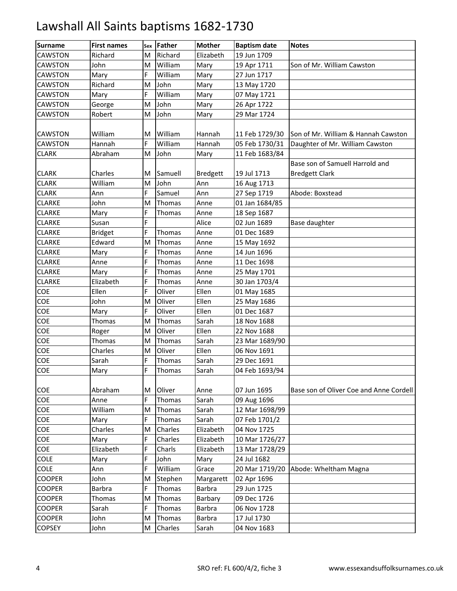| <b>Surname</b> | <b>First names</b> | Sex | Father  | <b>Mother</b>   | <b>Baptism date</b> | <b>Notes</b>                            |
|----------------|--------------------|-----|---------|-----------------|---------------------|-----------------------------------------|
| CAWSTON        | Richard            | M   | Richard | Elizabeth       | 19 Jun 1709         |                                         |
| <b>CAWSTON</b> | John               | M   | William | Mary            | 19 Apr 1711         | Son of Mr. William Cawston              |
| CAWSTON        | Mary               | F   | William | Mary            | 27 Jun 1717         |                                         |
| <b>CAWSTON</b> | Richard            | M   | John    | Mary            | 13 May 1720         |                                         |
| <b>CAWSTON</b> | Mary               | E.  | William | Mary            | 07 May 1721         |                                         |
| <b>CAWSTON</b> | George             | M   | John    | Mary            | 26 Apr 1722         |                                         |
| <b>CAWSTON</b> | Robert             | M   | John    | Mary            | 29 Mar 1724         |                                         |
|                |                    |     |         |                 |                     |                                         |
| <b>CAWSTON</b> | William            | M   | William | Hannah          | 11 Feb 1729/30      | Son of Mr. William & Hannah Cawston     |
| <b>CAWSTON</b> | Hannah             | E.  | William | Hannah          | 05 Feb 1730/31      | Daughter of Mr. William Cawston         |
| <b>CLARK</b>   | Abraham            | M   | John    | Mary            | 11 Feb 1683/84      |                                         |
|                |                    |     |         |                 |                     | Base son of Samuell Harrold and         |
| <b>CLARK</b>   | Charles            | M   | Samuell | <b>Bredgett</b> | 19 Jul 1713         | <b>Bredgett Clark</b>                   |
| <b>CLARK</b>   | William            | M   | John    | Ann             | 16 Aug 1713         |                                         |
| <b>CLARK</b>   | Ann                | E.  | Samuel  | Ann             | 27 Sep 1719         | Abode: Boxstead                         |
| <b>CLARKE</b>  | John               | M   | Thomas  | Anne            | 01 Jan 1684/85      |                                         |
| <b>CLARKE</b>  | Mary               | F   | Thomas  | Anne            | 18 Sep 1687         |                                         |
| <b>CLARKE</b>  | Susan              | F   |         | Alice           | 02 Jun 1689         | Base daughter                           |
| <b>CLARKE</b>  | <b>Bridget</b>     | E.  | Thomas  | Anne            | 01 Dec 1689         |                                         |
| <b>CLARKE</b>  | Edward             | M   | Thomas  | Anne            | 15 May 1692         |                                         |
| <b>CLARKE</b>  | Mary               | F   | Thomas  | Anne            | 14 Jun 1696         |                                         |
| <b>CLARKE</b>  | Anne               | F   | Thomas  | Anne            | 11 Dec 1698         |                                         |
| <b>CLARKE</b>  | Mary               | F   | Thomas  | Anne            | 25 May 1701         |                                         |
| <b>CLARKE</b>  | Elizabeth          | E.  | Thomas  | Anne            | 30 Jan 1703/4       |                                         |
| <b>COE</b>     | Ellen              | E.  | Oliver  | Ellen           | 01 May 1685         |                                         |
| COE            | John               | M   | Oliver  | Ellen           | 25 May 1686         |                                         |
| COE            | Mary               | F   | Oliver  | Ellen           | 01 Dec 1687         |                                         |
| COE            | Thomas             | M   | Thomas  | Sarah           | 18 Nov 1688         |                                         |
| COE            | Roger              | м   | Oliver  | Ellen           | 22 Nov 1688         |                                         |
| COE            | Thomas             | M   | Thomas  | Sarah           | 23 Mar 1689/90      |                                         |
| COE            | Charles            | M   | Oliver  | Ellen           | 06 Nov 1691         |                                         |
| COE            | Sarah              | F   | Thomas  | Sarah           | 29 Dec 1691         |                                         |
| COE            | Mary               | F   | Thomas  | Sarah           | 04 Feb 1693/94      |                                         |
|                |                    |     |         |                 |                     |                                         |
| COE            | Abraham            | Μ   | Oliver  | Anne            | 07 Jun 1695         | Base son of Oliver Coe and Anne Cordell |
| COE            | Anne               | F   | Thomas  | Sarah           | 09 Aug 1696         |                                         |
| COE            | William            | M   | Thomas  | Sarah           | 12 Mar 1698/99      |                                         |
| COE            | Mary               | F   | Thomas  | Sarah           | 07 Feb 1701/2       |                                         |
| COE            | Charles            | M   | Charles | Elizabeth       | 04 Nov 1725         |                                         |
| COE            | Mary               | F   | Charles | Elizabeth       | 10 Mar 1726/27      |                                         |
| COE            | Elizabeth          | E.  | Charls  | Elizabeth       | 13 Mar 1728/29      |                                         |
| COLE           | Mary               | F   | John    | Mary            | 24 Jul 1682         |                                         |
| COLE           | Ann                | F   | William | Grace           | 20 Mar 1719/20      | Abode: Wheltham Magna                   |
| <b>COOPER</b>  | John               | M   | Stephen | Margarett       | 02 Apr 1696         |                                         |
| <b>COOPER</b>  | Barbra             | E.  | Thomas  | Barbra          | 29 Jun 1725         |                                         |
| <b>COOPER</b>  | Thomas             | Μ   | Thomas  | Barbary         | 09 Dec 1726         |                                         |
| <b>COOPER</b>  | Sarah              | F   | Thomas  | Barbra          | 06 Nov 1728         |                                         |
| <b>COOPER</b>  | John               | M   | Thomas  | Barbra          | 17 Jul 1730         |                                         |
| <b>COPSEY</b>  | John               | M   | Charles | Sarah           | 04 Nov 1683         |                                         |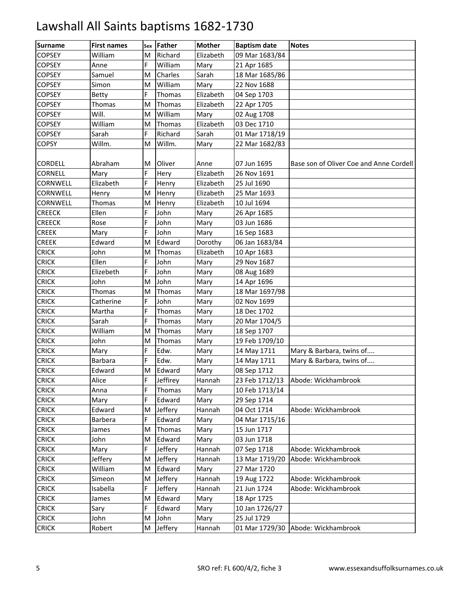| <b>Surname</b>  | <b>First names</b> | Sex | <b>Father</b> | <b>Mother</b> | <b>Baptism date</b> | <b>Notes</b>                            |
|-----------------|--------------------|-----|---------------|---------------|---------------------|-----------------------------------------|
| <b>COPSEY</b>   | William            | M   | Richard       | Elizabeth     | 09 Mar 1683/84      |                                         |
| <b>COPSEY</b>   | Anne               | E.  | William       | Mary          | 21 Apr 1685         |                                         |
| <b>COPSEY</b>   | Samuel             | M   | Charles       | Sarah         | 18 Mar 1685/86      |                                         |
| <b>COPSEY</b>   | Simon              | M   | William       | Mary          | 22 Nov 1688         |                                         |
| <b>COPSEY</b>   | <b>Betty</b>       | F   | Thomas        | Elizabeth     | 04 Sep 1703         |                                         |
| <b>COPSEY</b>   | Thomas             | M   | Thomas        | Elizabeth     | 22 Apr 1705         |                                         |
| <b>COPSEY</b>   | Will.              | M   | William       | Mary          | 02 Aug 1708         |                                         |
| <b>COPSEY</b>   | William            | M   | Thomas        | Elizabeth     | 03 Dec 1710         |                                         |
| <b>COPSEY</b>   | Sarah              | E.  | Richard       | Sarah         | 01 Mar 1718/19      |                                         |
| <b>COPSY</b>    | Willm.             | M   | Willm.        | Mary          | 22 Mar 1682/83      |                                         |
|                 |                    |     |               |               |                     |                                         |
| <b>CORDELL</b>  | Abraham            | м   | Oliver        | Anne          | 07 Jun 1695         | Base son of Oliver Coe and Anne Cordell |
| <b>CORNELL</b>  | Mary               | F.  | Hery          | Elizabeth     | 26 Nov 1691         |                                         |
| CORNWELL        | Elizabeth          | E.  | Henry         | Elizabeth     | 25 Jul 1690         |                                         |
| CORNWELL        | Henry              | M   | Henry         | Elizabeth     | 25 Mar 1693         |                                         |
| <b>CORNWELL</b> | Thomas             | M   | Henry         | Elizabeth     | 10 Jul 1694         |                                         |
| <b>CREECK</b>   | Ellen              | F   | John          | Mary          | 26 Apr 1685         |                                         |
| <b>CREECK</b>   | Rose               | F   | John          | Mary          | 03 Jun 1686         |                                         |
| <b>CREEK</b>    | Mary               | E.  | John          | Mary          | 16 Sep 1683         |                                         |
| <b>CREEK</b>    | Edward             | M   | Edward        | Dorothy       | 06 Jan 1683/84      |                                         |
| <b>CRICK</b>    | John               | M   | Thomas        | Elizabeth     | 10 Apr 1683         |                                         |
| <b>CRICK</b>    | Ellen              | F   | John          | Mary          | 29 Nov 1687         |                                         |
| <b>CRICK</b>    | Elizebeth          | F   | John          | Mary          | 08 Aug 1689         |                                         |
| <b>CRICK</b>    | John               | M   | John          | Mary          | 14 Apr 1696         |                                         |
| <b>CRICK</b>    | Thomas             | M   | Thomas        | Mary          | 18 Mar 1697/98      |                                         |
| <b>CRICK</b>    | Catherine          | F   | John          | Mary          | 02 Nov 1699         |                                         |
| <b>CRICK</b>    | Martha             | F   | Thomas        | Mary          | 18 Dec 1702         |                                         |
| <b>CRICK</b>    | Sarah              | F   | Thomas        | Mary          | 20 Mar 1704/5       |                                         |
| <b>CRICK</b>    | William            | M   | Thomas        | Mary          | 18 Sep 1707         |                                         |
| <b>CRICK</b>    | John               | M   | Thomas        | Mary          | 19 Feb 1709/10      |                                         |
| <b>CRICK</b>    | Mary               | E.  | Edw.          | Mary          | 14 May 1711         | Mary & Barbara, twins of                |
| <b>CRICK</b>    | Barbara            | F   | Edw.          | Mary          | 14 May 1711         | Mary & Barbara, twins of                |
| <b>CRICK</b>    | Edward             | M   | Edward        | Mary          | 08 Sep 1712         |                                         |
| <b>CRICK</b>    | Alice              | F   | Jeffirey      | Hannah        | 23 Feb 1712/13      | Abode: Wickhambrook                     |
| <b>CRICK</b>    | Anna               | F   | Thomas        | Mary          | 10 Feb 1713/14      |                                         |
| <b>CRICK</b>    | Mary               | F   | Edward        | Mary          | 29 Sep 1714         |                                         |
| <b>CRICK</b>    | Edward             | M   | Jeffery       | Hannah        | 04 Oct 1714         | Abode: Wickhambrook                     |
| <b>CRICK</b>    | <b>Barbera</b>     | F   | Edward        | Mary          | 04 Mar 1715/16      |                                         |
| <b>CRICK</b>    | James              | M   | Thomas        | Mary          | 15 Jun 1717         |                                         |
| <b>CRICK</b>    | John               | M   | Edward        | Mary          | 03 Jun 1718         |                                         |
| <b>CRICK</b>    | Mary               | F.  | Jeffery       | Hannah        | 07 Sep 1718         | Abode: Wickhambrook                     |
| <b>CRICK</b>    | Jeffery            | M   | Jeffery       | Hannah        | 13 Mar 1719/20      | Abode: Wickhambrook                     |
| <b>CRICK</b>    | William            | M   | Edward        | Mary          | 27 Mar 1720         |                                         |
| <b>CRICK</b>    | Simeon             | м   | Jeffery       | Hannah        | 19 Aug 1722         | Abode: Wickhambrook                     |
| <b>CRICK</b>    | Isabella           | F.  | Jeffery       | Hannah        | 21 Jun 1724         | Abode: Wickhambrook                     |
| <b>CRICK</b>    | James              | M   | Edward        | Mary          | 18 Apr 1725         |                                         |
| <b>CRICK</b>    | Sary               | F   | Edward        | Mary          | 10 Jan 1726/27      |                                         |
| <b>CRICK</b>    | John               | M   | John          | Mary          | 25 Jul 1729         |                                         |
| <b>CRICK</b>    | Robert             | M   | Jeffery       | Hannah        |                     | 01 Mar 1729/30 Abode: Wickhambrook      |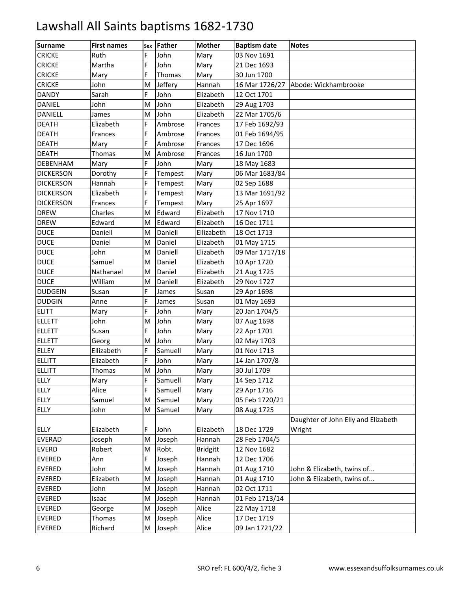| <b>Surname</b>   | <b>First names</b> | Sex | Father  | <b>Mother</b>   | <b>Baptism date</b> | <b>Notes</b>                        |
|------------------|--------------------|-----|---------|-----------------|---------------------|-------------------------------------|
| <b>CRICKE</b>    | Ruth               | E   | John    | Mary            | 03 Nov 1691         |                                     |
| <b>CRICKE</b>    | Martha             | F   | John    | Mary            | 21 Dec 1693         |                                     |
| <b>CRICKE</b>    | Mary               | F   | Thomas  | Mary            | 30 Jun 1700         |                                     |
| <b>CRICKE</b>    | John               | M   | Jeffery | Hannah          | 16 Mar 1726/27      | Abode: Wickhambrooke                |
| <b>DANDY</b>     | Sarah              | E.  | John    | Elizabeth       | 12 Oct 1701         |                                     |
| <b>DANIEL</b>    | John               | M   | John    | Elizabeth       | 29 Aug 1703         |                                     |
| <b>DANIELL</b>   | James              | M   | John    | Elizabeth       | 22 Mar 1705/6       |                                     |
| <b>DEATH</b>     | Elizabeth          | F   | Ambrose | Frances         | 17 Feb 1692/93      |                                     |
| <b>DEATH</b>     | Frances            | E.  | Ambrose | Frances         | 01 Feb 1694/95      |                                     |
| <b>DEATH</b>     | Mary               | E.  | Ambrose | Frances         | 17 Dec 1696         |                                     |
| <b>DEATH</b>     | Thomas             | M   | Ambrose | Frances         | 16 Jun 1700         |                                     |
| <b>DEBENHAM</b>  | Mary               | F   | John    | Mary            | 18 May 1683         |                                     |
| <b>DICKERSON</b> | Dorothy            | F   | Tempest | Mary            | 06 Mar 1683/84      |                                     |
| <b>DICKERSON</b> | Hannah             | E.  | Tempest | Mary            | 02 Sep 1688         |                                     |
| <b>DICKERSON</b> | Elizabeth          | E.  | Tempest | Mary            | 13 Mar 1691/92      |                                     |
| <b>DICKERSON</b> | Frances            | F.  | Tempest | Mary            | 25 Apr 1697         |                                     |
| <b>DREW</b>      | Charles            | M   | Edward  | Elizabeth       | 17 Nov 1710         |                                     |
| <b>DREW</b>      | Edward             | M   | Edward  | Elizabeth       | 16 Dec 1711         |                                     |
| <b>DUCE</b>      | Daniell            | M   | Daniell | Ellizabeth      | 18 Oct 1713         |                                     |
| <b>DUCE</b>      | Daniel             | M   | Daniel  | Elizabeth       | 01 May 1715         |                                     |
| <b>DUCE</b>      | John               | M   | Daniell | Elizabeth       | 09 Mar 1717/18      |                                     |
| <b>DUCE</b>      | Samuel             | м   | Daniel  | Elizabeth       | 10 Apr 1720         |                                     |
| <b>DUCE</b>      | Nathanael          | M   | Daniel  | Elizabeth       | 21 Aug 1725         |                                     |
| <b>DUCE</b>      | William            | M   | Daniell | Elizabeth       | 29 Nov 1727         |                                     |
| <b>DUDGEIN</b>   | Susan              | E.  | James   | Susan           | 29 Apr 1698         |                                     |
| <b>DUDGIN</b>    | Anne               | Ë   | James   | Susan           | 01 May 1693         |                                     |
| <b>ELITT</b>     | Mary               | F   | John    | Mary            | 20 Jan 1704/5       |                                     |
| <b>ELLETT</b>    | John               | M   | John    | Mary            | 07 Aug 1698         |                                     |
| <b>ELLETT</b>    | Susan              | E.  | John    | Mary            | 22 Apr 1701         |                                     |
| <b>ELLETT</b>    | Georg              | M   | John    | Mary            | 02 May 1703         |                                     |
| <b>ELLEY</b>     | Ellizabeth         | E.  | Samuell | Mary            | 01 Nov 1713         |                                     |
| <b>ELLITT</b>    | Elizabeth          | F   | John    | Mary            | 14 Jan 1707/8       |                                     |
| <b>ELLITT</b>    | Thomas             | M   | John    | Mary            | 30 Jul 1709         |                                     |
| <b>ELLY</b>      | Mary               | F   | Samuell | Mary            | 14 Sep 1712         |                                     |
| <b>ELLY</b>      | Alice              | F   | Samuell | Mary            | 29 Apr 1716         |                                     |
| <b>ELLY</b>      | Samuel             | M   | Samuel  | Mary            | 05 Feb 1720/21      |                                     |
| <b>ELLY</b>      | John               | M   | Samuel  | Mary            | 08 Aug 1725         |                                     |
|                  |                    |     |         |                 |                     | Daughter of John Elly and Elizabeth |
| <b>ELLY</b>      | Elizabeth          | F.  | John    | Elizabeth       | 18 Dec 1729         | Wright                              |
| <b>EVERAD</b>    | Joseph             | M   | Joseph  | Hannah          | 28 Feb 1704/5       |                                     |
| <b>EVERD</b>     | Robert             | M   | Robt.   | <b>Bridgitt</b> | 12 Nov 1682         |                                     |
| <b>EVERED</b>    | Ann                | F   | Joseph  | Hannah          | 12 Dec 1706         |                                     |
| EVERED           | John               | M   | Joseph  | Hannah          | 01 Aug 1710         | John & Elizabeth, twins of          |
| <b>EVERED</b>    | Elizabeth          | M   | Joseph  | Hannah          | 01 Aug 1710         | John & Elizabeth, twins of          |
| <b>EVERED</b>    | John               | M   | Joseph  | Hannah          | 02 Oct 1711         |                                     |
| <b>EVERED</b>    | Isaac              | M   | Joseph  | Hannah          | 01 Feb 1713/14      |                                     |
| <b>EVERED</b>    | George             | M   | Joseph  | Alice           | 22 May 1718         |                                     |
| <b>EVERED</b>    | Thomas             | M   | Joseph  | Alice           | 17 Dec 1719         |                                     |
| <b>EVERED</b>    | Richard            | M   | Joseph  | Alice           | 09 Jan 1721/22      |                                     |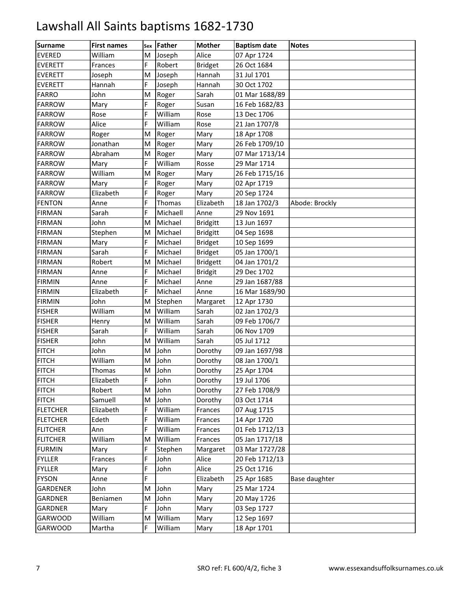| <b>Surname</b>  | <b>First names</b> |    | sex Father | <b>Mother</b>   | <b>Baptism date</b> | <b>Notes</b>   |
|-----------------|--------------------|----|------------|-----------------|---------------------|----------------|
| <b>EVERED</b>   | William            | M  | Joseph     | Alice           | 07 Apr 1724         |                |
| <b>EVERETT</b>  | Frances            | E. | Robert     | <b>Bridget</b>  | 26 Oct 1684         |                |
| <b>EVERETT</b>  | Joseph             | M  | Joseph     | Hannah          | 31 Jul 1701         |                |
| <b>EVERETT</b>  | Hannah             | E. | Joseph     | Hannah          | 30 Oct 1702         |                |
| <b>FARRO</b>    | John               | M  | Roger      | Sarah           | 01 Mar 1688/89      |                |
| <b>FARROW</b>   | Mary               | F  | Roger      | Susan           | 16 Feb 1682/83      |                |
| <b>FARROW</b>   | Rose               | F  | William    | Rose            | 13 Dec 1706         |                |
| <b>FARROW</b>   | Alice              | F  | William    | Rose            | 21 Jan 1707/8       |                |
| <b>FARROW</b>   | Roger              | M  | Roger      | Mary            | 18 Apr 1708         |                |
| <b>FARROW</b>   | Jonathan           | M  | Roger      | Mary            | 26 Feb 1709/10      |                |
| <b>FARROW</b>   | Abraham            | M  | Roger      | Mary            | 07 Mar 1713/14      |                |
| <b>FARROW</b>   | Mary               | Ë  | William    | Rosse           | 29 Mar 1714         |                |
| <b>FARROW</b>   | William            | M  | Roger      | Mary            | 26 Feb 1715/16      |                |
| <b>FARROW</b>   | Mary               | E. | Roger      | Mary            | 02 Apr 1719         |                |
| <b>FARROW</b>   | Elizabeth          | E. | Roger      | Mary            | 20 Sep 1724         |                |
| <b>FENTON</b>   | Anne               | Ė. | Thomas     | Elizabeth       | 18 Jan 1702/3       | Abode: Brockly |
| <b>FIRMAN</b>   | Sarah              | Ë  | Michaell   | Anne            | 29 Nov 1691         |                |
| <b>FIRMAN</b>   | John               | M  | Michael    | <b>Bridgitt</b> | 13 Jun 1697         |                |
| <b>FIRMAN</b>   | Stephen            | M  | Michael    | <b>Bridgitt</b> | 04 Sep 1698         |                |
| <b>FIRMAN</b>   | Mary               | E. | Michael    | <b>Bridget</b>  | 10 Sep 1699         |                |
| <b>FIRMAN</b>   | Sarah              | F  | Michael    | <b>Bridget</b>  | 05 Jan 1700/1       |                |
| <b>FIRMAN</b>   | Robert             | м  | Michael    | <b>Bridgett</b> | 04 Jan 1701/2       |                |
| <b>FIRMAN</b>   | Anne               | F  | Michael    | <b>Bridgit</b>  | 29 Dec 1702         |                |
| <b>FIRMIN</b>   | Anne               | E. | Michael    | Anne            | 29 Jan 1687/88      |                |
| <b>FIRMIN</b>   | Elizabeth          | E. | Michael    | Anne            | 16 Mar 1689/90      |                |
| <b>FIRMIN</b>   | John               | M  | Stephen    | Margaret        | 12 Apr 1730         |                |
| <b>FISHER</b>   | William            | M  | William    | Sarah           | 02 Jan 1702/3       |                |
| <b>FISHER</b>   | Henry              | M  | William    | Sarah           | 09 Feb 1706/7       |                |
| <b>FISHER</b>   | Sarah              | E. | William    | Sarah           | 06 Nov 1709         |                |
| <b>FISHER</b>   | John               | M  | William    | Sarah           | 05 Jul 1712         |                |
| <b>FITCH</b>    | John               | M  | John       | Dorothy         | 09 Jan 1697/98      |                |
| <b>FITCH</b>    | William            | M  | John       | Dorothy         | 08 Jan 1700/1       |                |
| <b>FITCH</b>    | Thomas             | M  | John       | Dorothy         | 25 Apr 1704         |                |
| <b>FITCH</b>    | Elizabeth          | F  | John       | Dorothy         | 19 Jul 1706         |                |
| <b>FITCH</b>    | Robert             | M  | John       | Dorothy         | 27 Feb 1708/9       |                |
| <b>FITCH</b>    | Samuell            | M  | John       | Dorothy         | 03 Oct 1714         |                |
| <b>FLETCHER</b> | Elizabeth          | F  | William    | Frances         | 07 Aug 1715         |                |
| <b>FLETCHER</b> | Edeth              | F  | William    | Frances         | 14 Apr 1720         |                |
| <b>FLITCHER</b> | Ann                | F  | William    | Frances         | 01 Feb 1712/13      |                |
| <b>FLITCHER</b> | William            | M  | William    | Frances         | 05 Jan 1717/18      |                |
| <b>FURMIN</b>   | Mary               | F  | Stephen    | Margaret        | 03 Mar 1727/28      |                |
| <b>FYLLER</b>   | Frances            | Ë  | John       | Alice           | 20 Feb 1712/13      |                |
| <b>FYLLER</b>   | Mary               | F  | John       | Alice           | 25 Oct 1716         |                |
| <b>FYSON</b>    | Anne               | F  |            | Elizabeth       | 25 Apr 1685         | Base daughter  |
| GARDENER        | John               | M  | John       | Mary            | 25 Mar 1724         |                |
| GARDNER         | Beniamen           | M  | John       | Mary            | 20 May 1726         |                |
| GARDNER         | Mary               | F  | John       | Mary            | 03 Sep 1727         |                |
| <b>GARWOOD</b>  | William            | M  | William    | Mary            | 12 Sep 1697         |                |
| GARWOOD         | Martha             | F. | William    | Mary            | 18 Apr 1701         |                |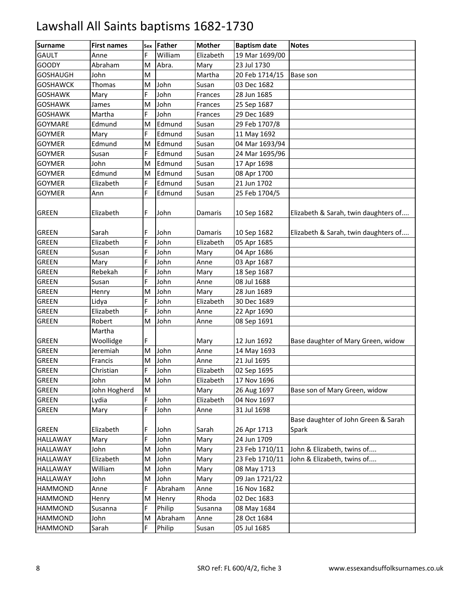| <b>GAULT</b><br>William<br>Elizabeth<br>19 Mar 1699/00<br>E.<br>Anne<br>23 Jul 1730<br><b>GOODY</b><br>Abraham<br>Abra.<br>M<br>Mary<br><b>GOSHAUGH</b><br>20 Feb 1714/15<br>John<br>M<br>Martha<br>Base son<br><b>GOSHAWCK</b><br>John<br>03 Dec 1682<br>Thomas<br>M<br>Susan<br>E.<br>John<br><b>GOSHAWK</b><br>28 Jun 1685<br>Mary<br>Frances<br>John<br>25 Sep 1687<br><b>GOSHAWK</b><br>James<br>M<br>Frances<br>F<br>John<br>29 Dec 1689<br><b>GOSHAWK</b><br>Martha<br>Frances<br>Edmund<br><b>GOYMARE</b><br>Edmund<br>M<br>29 Feb 1707/8<br>Susan<br><b>GOYMER</b><br>Edmund<br>Mary<br>F.<br>Susan<br>11 May 1692<br><b>GOYMER</b><br>Edmund<br>Edmund<br>04 Mar 1693/94<br>M<br>Susan<br>F<br><b>GOYMER</b><br>Edmund<br>Susan<br>Susan<br>24 Mar 1695/96<br><b>GOYMER</b><br>John<br>Edmund<br>Susan<br>17 Apr 1698<br>M<br><b>GOYMER</b><br>Edmund<br>08 Apr 1700<br>Edmund<br>M<br>Susan<br>21 Jun 1702<br><b>GOYMER</b><br>E.<br>Edmund<br>Susan<br>Elizabeth<br>E.<br>Edmund<br>25 Feb 1704/5<br><b>GOYMER</b><br>Ann<br>Susan<br>F.<br>John<br>10 Sep 1682<br>Elizabeth & Sarah, twin daughters of<br><b>GREEN</b><br>Elizabeth<br>Damaris<br>Elizabeth & Sarah, twin daughters of<br><b>GREEN</b><br>F.<br>John<br>10 Sep 1682<br>Sarah<br>Damaris<br><b>GREEN</b><br>John<br>Elizabeth<br>F<br>Elizabeth<br>05 Apr 1685<br>John<br><b>GREEN</b><br>F<br>04 Apr 1686<br>Susan<br>Mary<br>F<br><b>GREEN</b><br>John<br>03 Apr 1687<br>Mary<br>Anne<br><b>GREEN</b><br>F<br>John<br>18 Sep 1687<br>Rebekah<br>Mary<br>John<br><b>GREEN</b><br>Susan<br>E.<br>08 Jul 1688<br>Anne<br><b>GREEN</b><br>John<br>28 Jun 1689<br>Henry<br>M<br>Mary<br><b>GREEN</b><br>John<br>F<br>Elizabeth<br>30 Dec 1689<br>Lidya<br>F<br>John<br><b>GREEN</b><br>Elizabeth<br>22 Apr 1690<br>Anne<br><b>GREEN</b><br>John<br>08 Sep 1691<br>Robert<br>M<br>Anne<br>Martha<br><b>GREEN</b><br>Woollidge<br>F<br>12 Jun 1692<br>Mary<br>Base daughter of Mary Green, widow<br><b>GREEN</b><br>John<br>Jeremiah<br>M<br>Anne<br>14 May 1693<br><b>GREEN</b><br>John<br>21 Jul 1695<br>M<br>Francis<br>Anne |
|--------------------------------------------------------------------------------------------------------------------------------------------------------------------------------------------------------------------------------------------------------------------------------------------------------------------------------------------------------------------------------------------------------------------------------------------------------------------------------------------------------------------------------------------------------------------------------------------------------------------------------------------------------------------------------------------------------------------------------------------------------------------------------------------------------------------------------------------------------------------------------------------------------------------------------------------------------------------------------------------------------------------------------------------------------------------------------------------------------------------------------------------------------------------------------------------------------------------------------------------------------------------------------------------------------------------------------------------------------------------------------------------------------------------------------------------------------------------------------------------------------------------------------------------------------------------------------------------------------------------------------------------------------------------------------------------------------------------------------------------------------------------------------------------------------------------------------------------------------------------------------------------------------------------------------------------------------------------------------------------------------------------------------------------------------------------------------------------------------|
|                                                                                                                                                                                                                                                                                                                                                                                                                                                                                                                                                                                                                                                                                                                                                                                                                                                                                                                                                                                                                                                                                                                                                                                                                                                                                                                                                                                                                                                                                                                                                                                                                                                                                                                                                                                                                                                                                                                                                                                                                                                                                                        |
|                                                                                                                                                                                                                                                                                                                                                                                                                                                                                                                                                                                                                                                                                                                                                                                                                                                                                                                                                                                                                                                                                                                                                                                                                                                                                                                                                                                                                                                                                                                                                                                                                                                                                                                                                                                                                                                                                                                                                                                                                                                                                                        |
|                                                                                                                                                                                                                                                                                                                                                                                                                                                                                                                                                                                                                                                                                                                                                                                                                                                                                                                                                                                                                                                                                                                                                                                                                                                                                                                                                                                                                                                                                                                                                                                                                                                                                                                                                                                                                                                                                                                                                                                                                                                                                                        |
|                                                                                                                                                                                                                                                                                                                                                                                                                                                                                                                                                                                                                                                                                                                                                                                                                                                                                                                                                                                                                                                                                                                                                                                                                                                                                                                                                                                                                                                                                                                                                                                                                                                                                                                                                                                                                                                                                                                                                                                                                                                                                                        |
|                                                                                                                                                                                                                                                                                                                                                                                                                                                                                                                                                                                                                                                                                                                                                                                                                                                                                                                                                                                                                                                                                                                                                                                                                                                                                                                                                                                                                                                                                                                                                                                                                                                                                                                                                                                                                                                                                                                                                                                                                                                                                                        |
|                                                                                                                                                                                                                                                                                                                                                                                                                                                                                                                                                                                                                                                                                                                                                                                                                                                                                                                                                                                                                                                                                                                                                                                                                                                                                                                                                                                                                                                                                                                                                                                                                                                                                                                                                                                                                                                                                                                                                                                                                                                                                                        |
|                                                                                                                                                                                                                                                                                                                                                                                                                                                                                                                                                                                                                                                                                                                                                                                                                                                                                                                                                                                                                                                                                                                                                                                                                                                                                                                                                                                                                                                                                                                                                                                                                                                                                                                                                                                                                                                                                                                                                                                                                                                                                                        |
|                                                                                                                                                                                                                                                                                                                                                                                                                                                                                                                                                                                                                                                                                                                                                                                                                                                                                                                                                                                                                                                                                                                                                                                                                                                                                                                                                                                                                                                                                                                                                                                                                                                                                                                                                                                                                                                                                                                                                                                                                                                                                                        |
|                                                                                                                                                                                                                                                                                                                                                                                                                                                                                                                                                                                                                                                                                                                                                                                                                                                                                                                                                                                                                                                                                                                                                                                                                                                                                                                                                                                                                                                                                                                                                                                                                                                                                                                                                                                                                                                                                                                                                                                                                                                                                                        |
|                                                                                                                                                                                                                                                                                                                                                                                                                                                                                                                                                                                                                                                                                                                                                                                                                                                                                                                                                                                                                                                                                                                                                                                                                                                                                                                                                                                                                                                                                                                                                                                                                                                                                                                                                                                                                                                                                                                                                                                                                                                                                                        |
|                                                                                                                                                                                                                                                                                                                                                                                                                                                                                                                                                                                                                                                                                                                                                                                                                                                                                                                                                                                                                                                                                                                                                                                                                                                                                                                                                                                                                                                                                                                                                                                                                                                                                                                                                                                                                                                                                                                                                                                                                                                                                                        |
|                                                                                                                                                                                                                                                                                                                                                                                                                                                                                                                                                                                                                                                                                                                                                                                                                                                                                                                                                                                                                                                                                                                                                                                                                                                                                                                                                                                                                                                                                                                                                                                                                                                                                                                                                                                                                                                                                                                                                                                                                                                                                                        |
|                                                                                                                                                                                                                                                                                                                                                                                                                                                                                                                                                                                                                                                                                                                                                                                                                                                                                                                                                                                                                                                                                                                                                                                                                                                                                                                                                                                                                                                                                                                                                                                                                                                                                                                                                                                                                                                                                                                                                                                                                                                                                                        |
|                                                                                                                                                                                                                                                                                                                                                                                                                                                                                                                                                                                                                                                                                                                                                                                                                                                                                                                                                                                                                                                                                                                                                                                                                                                                                                                                                                                                                                                                                                                                                                                                                                                                                                                                                                                                                                                                                                                                                                                                                                                                                                        |
|                                                                                                                                                                                                                                                                                                                                                                                                                                                                                                                                                                                                                                                                                                                                                                                                                                                                                                                                                                                                                                                                                                                                                                                                                                                                                                                                                                                                                                                                                                                                                                                                                                                                                                                                                                                                                                                                                                                                                                                                                                                                                                        |
|                                                                                                                                                                                                                                                                                                                                                                                                                                                                                                                                                                                                                                                                                                                                                                                                                                                                                                                                                                                                                                                                                                                                                                                                                                                                                                                                                                                                                                                                                                                                                                                                                                                                                                                                                                                                                                                                                                                                                                                                                                                                                                        |
|                                                                                                                                                                                                                                                                                                                                                                                                                                                                                                                                                                                                                                                                                                                                                                                                                                                                                                                                                                                                                                                                                                                                                                                                                                                                                                                                                                                                                                                                                                                                                                                                                                                                                                                                                                                                                                                                                                                                                                                                                                                                                                        |
|                                                                                                                                                                                                                                                                                                                                                                                                                                                                                                                                                                                                                                                                                                                                                                                                                                                                                                                                                                                                                                                                                                                                                                                                                                                                                                                                                                                                                                                                                                                                                                                                                                                                                                                                                                                                                                                                                                                                                                                                                                                                                                        |
|                                                                                                                                                                                                                                                                                                                                                                                                                                                                                                                                                                                                                                                                                                                                                                                                                                                                                                                                                                                                                                                                                                                                                                                                                                                                                                                                                                                                                                                                                                                                                                                                                                                                                                                                                                                                                                                                                                                                                                                                                                                                                                        |
|                                                                                                                                                                                                                                                                                                                                                                                                                                                                                                                                                                                                                                                                                                                                                                                                                                                                                                                                                                                                                                                                                                                                                                                                                                                                                                                                                                                                                                                                                                                                                                                                                                                                                                                                                                                                                                                                                                                                                                                                                                                                                                        |
|                                                                                                                                                                                                                                                                                                                                                                                                                                                                                                                                                                                                                                                                                                                                                                                                                                                                                                                                                                                                                                                                                                                                                                                                                                                                                                                                                                                                                                                                                                                                                                                                                                                                                                                                                                                                                                                                                                                                                                                                                                                                                                        |
|                                                                                                                                                                                                                                                                                                                                                                                                                                                                                                                                                                                                                                                                                                                                                                                                                                                                                                                                                                                                                                                                                                                                                                                                                                                                                                                                                                                                                                                                                                                                                                                                                                                                                                                                                                                                                                                                                                                                                                                                                                                                                                        |
|                                                                                                                                                                                                                                                                                                                                                                                                                                                                                                                                                                                                                                                                                                                                                                                                                                                                                                                                                                                                                                                                                                                                                                                                                                                                                                                                                                                                                                                                                                                                                                                                                                                                                                                                                                                                                                                                                                                                                                                                                                                                                                        |
|                                                                                                                                                                                                                                                                                                                                                                                                                                                                                                                                                                                                                                                                                                                                                                                                                                                                                                                                                                                                                                                                                                                                                                                                                                                                                                                                                                                                                                                                                                                                                                                                                                                                                                                                                                                                                                                                                                                                                                                                                                                                                                        |
|                                                                                                                                                                                                                                                                                                                                                                                                                                                                                                                                                                                                                                                                                                                                                                                                                                                                                                                                                                                                                                                                                                                                                                                                                                                                                                                                                                                                                                                                                                                                                                                                                                                                                                                                                                                                                                                                                                                                                                                                                                                                                                        |
|                                                                                                                                                                                                                                                                                                                                                                                                                                                                                                                                                                                                                                                                                                                                                                                                                                                                                                                                                                                                                                                                                                                                                                                                                                                                                                                                                                                                                                                                                                                                                                                                                                                                                                                                                                                                                                                                                                                                                                                                                                                                                                        |
|                                                                                                                                                                                                                                                                                                                                                                                                                                                                                                                                                                                                                                                                                                                                                                                                                                                                                                                                                                                                                                                                                                                                                                                                                                                                                                                                                                                                                                                                                                                                                                                                                                                                                                                                                                                                                                                                                                                                                                                                                                                                                                        |
|                                                                                                                                                                                                                                                                                                                                                                                                                                                                                                                                                                                                                                                                                                                                                                                                                                                                                                                                                                                                                                                                                                                                                                                                                                                                                                                                                                                                                                                                                                                                                                                                                                                                                                                                                                                                                                                                                                                                                                                                                                                                                                        |
|                                                                                                                                                                                                                                                                                                                                                                                                                                                                                                                                                                                                                                                                                                                                                                                                                                                                                                                                                                                                                                                                                                                                                                                                                                                                                                                                                                                                                                                                                                                                                                                                                                                                                                                                                                                                                                                                                                                                                                                                                                                                                                        |
|                                                                                                                                                                                                                                                                                                                                                                                                                                                                                                                                                                                                                                                                                                                                                                                                                                                                                                                                                                                                                                                                                                                                                                                                                                                                                                                                                                                                                                                                                                                                                                                                                                                                                                                                                                                                                                                                                                                                                                                                                                                                                                        |
|                                                                                                                                                                                                                                                                                                                                                                                                                                                                                                                                                                                                                                                                                                                                                                                                                                                                                                                                                                                                                                                                                                                                                                                                                                                                                                                                                                                                                                                                                                                                                                                                                                                                                                                                                                                                                                                                                                                                                                                                                                                                                                        |
| F<br>John<br><b>GREEN</b><br>Christian<br>Elizabeth<br>02 Sep 1695                                                                                                                                                                                                                                                                                                                                                                                                                                                                                                                                                                                                                                                                                                                                                                                                                                                                                                                                                                                                                                                                                                                                                                                                                                                                                                                                                                                                                                                                                                                                                                                                                                                                                                                                                                                                                                                                                                                                                                                                                                     |
| John<br>John<br><b>GREEN</b><br>M<br>Elizabeth<br>17 Nov 1696                                                                                                                                                                                                                                                                                                                                                                                                                                                                                                                                                                                                                                                                                                                                                                                                                                                                                                                                                                                                                                                                                                                                                                                                                                                                                                                                                                                                                                                                                                                                                                                                                                                                                                                                                                                                                                                                                                                                                                                                                                          |
| <b>GREEN</b><br>John Hogherd<br>M<br>26 Aug 1697<br>Mary<br>Base son of Mary Green, widow                                                                                                                                                                                                                                                                                                                                                                                                                                                                                                                                                                                                                                                                                                                                                                                                                                                                                                                                                                                                                                                                                                                                                                                                                                                                                                                                                                                                                                                                                                                                                                                                                                                                                                                                                                                                                                                                                                                                                                                                              |
| John<br>F<br>GREEN<br>Elizabeth<br>04 Nov 1697<br>Lydia                                                                                                                                                                                                                                                                                                                                                                                                                                                                                                                                                                                                                                                                                                                                                                                                                                                                                                                                                                                                                                                                                                                                                                                                                                                                                                                                                                                                                                                                                                                                                                                                                                                                                                                                                                                                                                                                                                                                                                                                                                                |
| F<br><b>GREEN</b><br>Mary<br>John<br>31 Jul 1698<br>Anne                                                                                                                                                                                                                                                                                                                                                                                                                                                                                                                                                                                                                                                                                                                                                                                                                                                                                                                                                                                                                                                                                                                                                                                                                                                                                                                                                                                                                                                                                                                                                                                                                                                                                                                                                                                                                                                                                                                                                                                                                                               |
| Base daughter of John Green & Sarah<br>Spark<br><b>GREEN</b><br>Elizabeth<br>John<br>F<br>Sarah<br>26 Apr 1713                                                                                                                                                                                                                                                                                                                                                                                                                                                                                                                                                                                                                                                                                                                                                                                                                                                                                                                                                                                                                                                                                                                                                                                                                                                                                                                                                                                                                                                                                                                                                                                                                                                                                                                                                                                                                                                                                                                                                                                         |
| Ë<br>John<br>24 Jun 1709<br><b>HALLAWAY</b><br>Mary<br>Mary                                                                                                                                                                                                                                                                                                                                                                                                                                                                                                                                                                                                                                                                                                                                                                                                                                                                                                                                                                                                                                                                                                                                                                                                                                                                                                                                                                                                                                                                                                                                                                                                                                                                                                                                                                                                                                                                                                                                                                                                                                            |
| John<br>John<br>23 Feb 1710/11<br>John & Elizabeth, twins of<br><b>HALLAWAY</b><br>M<br>Mary                                                                                                                                                                                                                                                                                                                                                                                                                                                                                                                                                                                                                                                                                                                                                                                                                                                                                                                                                                                                                                                                                                                                                                                                                                                                                                                                                                                                                                                                                                                                                                                                                                                                                                                                                                                                                                                                                                                                                                                                           |
| <b>HALLAWAY</b><br>Elizabeth<br>John<br>23 Feb 1710/11<br>John & Elizabeth, twins of<br>M<br>Mary                                                                                                                                                                                                                                                                                                                                                                                                                                                                                                                                                                                                                                                                                                                                                                                                                                                                                                                                                                                                                                                                                                                                                                                                                                                                                                                                                                                                                                                                                                                                                                                                                                                                                                                                                                                                                                                                                                                                                                                                      |
| John<br>08 May 1713<br><b>HALLAWAY</b><br>William<br>M<br>Mary                                                                                                                                                                                                                                                                                                                                                                                                                                                                                                                                                                                                                                                                                                                                                                                                                                                                                                                                                                                                                                                                                                                                                                                                                                                                                                                                                                                                                                                                                                                                                                                                                                                                                                                                                                                                                                                                                                                                                                                                                                         |
| John<br>John<br>09 Jan 1721/22<br><b>HALLAWAY</b><br>Mary<br>M                                                                                                                                                                                                                                                                                                                                                                                                                                                                                                                                                                                                                                                                                                                                                                                                                                                                                                                                                                                                                                                                                                                                                                                                                                                                                                                                                                                                                                                                                                                                                                                                                                                                                                                                                                                                                                                                                                                                                                                                                                         |
| Abraham<br><b>HAMMOND</b><br>F.<br>16 Nov 1682<br>Anne<br>Anne                                                                                                                                                                                                                                                                                                                                                                                                                                                                                                                                                                                                                                                                                                                                                                                                                                                                                                                                                                                                                                                                                                                                                                                                                                                                                                                                                                                                                                                                                                                                                                                                                                                                                                                                                                                                                                                                                                                                                                                                                                         |
| 02 Dec 1683<br>HAMMOND<br>M<br>Rhoda<br>Henry<br>Henry                                                                                                                                                                                                                                                                                                                                                                                                                                                                                                                                                                                                                                                                                                                                                                                                                                                                                                                                                                                                                                                                                                                                                                                                                                                                                                                                                                                                                                                                                                                                                                                                                                                                                                                                                                                                                                                                                                                                                                                                                                                 |
| F<br>Philip<br><b>HAMMOND</b><br>Susanna<br>Susanna<br>08 May 1684                                                                                                                                                                                                                                                                                                                                                                                                                                                                                                                                                                                                                                                                                                                                                                                                                                                                                                                                                                                                                                                                                                                                                                                                                                                                                                                                                                                                                                                                                                                                                                                                                                                                                                                                                                                                                                                                                                                                                                                                                                     |
| <b>HAMMOND</b><br>John<br>Abraham<br>28 Oct 1684<br>M<br>Anne                                                                                                                                                                                                                                                                                                                                                                                                                                                                                                                                                                                                                                                                                                                                                                                                                                                                                                                                                                                                                                                                                                                                                                                                                                                                                                                                                                                                                                                                                                                                                                                                                                                                                                                                                                                                                                                                                                                                                                                                                                          |
| Sarah<br>Philip<br>05 Jul 1685<br><b>HAMMOND</b><br>F<br>Susan                                                                                                                                                                                                                                                                                                                                                                                                                                                                                                                                                                                                                                                                                                                                                                                                                                                                                                                                                                                                                                                                                                                                                                                                                                                                                                                                                                                                                                                                                                                                                                                                                                                                                                                                                                                                                                                                                                                                                                                                                                         |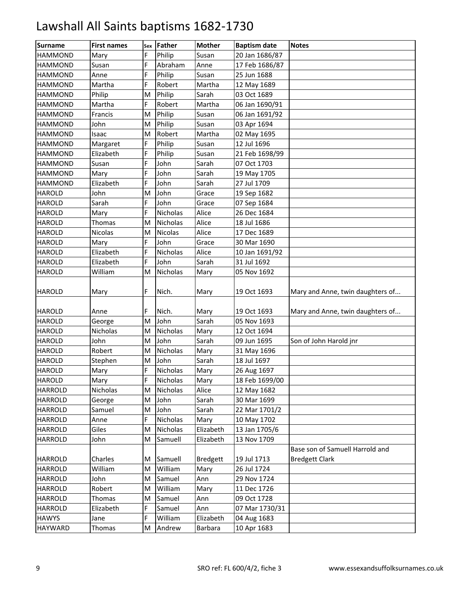| <b>Surname</b> | <b>First names</b> | Sex | <b>Father</b>  | <b>Mother</b>   | <b>Baptism date</b> | <b>Notes</b>                     |
|----------------|--------------------|-----|----------------|-----------------|---------------------|----------------------------------|
| <b>HAMMOND</b> | Mary               | F   | Philip         | Susan           | 20 Jan 1686/87      |                                  |
| <b>HAMMOND</b> | Susan              | F   | Abraham        | Anne            | 17 Feb 1686/87      |                                  |
| <b>HAMMOND</b> | Anne               | F   | Philip         | Susan           | 25 Jun 1688         |                                  |
| <b>HAMMOND</b> | Martha             | F   | Robert         | Martha          | 12 May 1689         |                                  |
| <b>HAMMOND</b> | Philip             | M   | Philip         | Sarah           | 03 Oct 1689         |                                  |
| <b>HAMMOND</b> | Martha             | F   | Robert         | Martha          | 06 Jan 1690/91      |                                  |
| <b>HAMMOND</b> | Francis            | M   | Philip         | Susan           | 06 Jan 1691/92      |                                  |
| <b>HAMMOND</b> | John               | M   | Philip         | Susan           | 03 Apr 1694         |                                  |
| <b>HAMMOND</b> | Isaac              | M   | Robert         | Martha          | 02 May 1695         |                                  |
| <b>HAMMOND</b> | Margaret           | F   | Philip         | Susan           | 12 Jul 1696         |                                  |
| <b>HAMMOND</b> | Elizabeth          | F   | Philip         | Susan           | 21 Feb 1698/99      |                                  |
| <b>HAMMOND</b> | Susan              | F   | John           | Sarah           | 07 Oct 1703         |                                  |
| <b>HAMMOND</b> | Mary               | F   | John           | Sarah           | 19 May 1705         |                                  |
| <b>HAMMOND</b> | Elizabeth          | F   | John           | Sarah           | 27 Jul 1709         |                                  |
| <b>HAROLD</b>  | John               | M   | John           | Grace           | 19 Sep 1682         |                                  |
| <b>HAROLD</b>  | Sarah              | F   | John           | Grace           | 07 Sep 1684         |                                  |
| <b>HAROLD</b>  | Mary               | F   | Nicholas       | Alice           | 26 Dec 1684         |                                  |
| <b>HAROLD</b>  | Thomas             | M   | Nicholas       | Alice           | 18 Jul 1686         |                                  |
| <b>HAROLD</b>  | Nicolas            | M   | <b>Nicolas</b> | Alice           | 17 Dec 1689         |                                  |
| <b>HAROLD</b>  | Mary               | F   | John           | Grace           | 30 Mar 1690         |                                  |
| <b>HAROLD</b>  | Elizabeth          | F   | Nicholas       | Alice           | 10 Jan 1691/92      |                                  |
| <b>HAROLD</b>  | Elizabeth          | F   | John           | Sarah           | 31 Jul 1692         |                                  |
| <b>HAROLD</b>  | William            | M   | Nicholas       | Mary            | 05 Nov 1692         |                                  |
| <b>HAROLD</b>  | Mary               | F   | Nich.          | Mary            | 19 Oct 1693         | Mary and Anne, twin daughters of |
| <b>HAROLD</b>  | Anne               | F   | Nich.          | Mary            | 19 Oct 1693         | Mary and Anne, twin daughters of |
| <b>HAROLD</b>  | George             | M   | John           | Sarah           | 05 Nov 1693         |                                  |
| <b>HAROLD</b>  | Nicholas           | M   | Nicholas       | Mary            | 12 Oct 1694         |                                  |
| <b>HAROLD</b>  | John               | M   | John           | Sarah           | 09 Jun 1695         | Son of John Harold jnr           |
| <b>HAROLD</b>  | Robert             | M   | Nicholas       | Mary            | 31 May 1696         |                                  |
| <b>HAROLD</b>  | Stephen            | M   | John           | Sarah           | 18 Jul 1697         |                                  |
| <b>HAROLD</b>  | Mary               | F   | Nicholas       | Mary            | 26 Aug 1697         |                                  |
| <b>HAROLD</b>  | Mary               | F   | Nicholas       | Mary            | 18 Feb 1699/00      |                                  |
| <b>HARROLD</b> | Nicholas           | M   | Nicholas       | Alice           | 12 May 1682         |                                  |
| <b>HARROLD</b> | George             | M   | John           | Sarah           | 30 Mar 1699         |                                  |
| <b>HARROLD</b> | Samuel             | Μ   | John           | Sarah           | 22 Mar 1701/2       |                                  |
| <b>HARROLD</b> | Anne               | F   | Nicholas       | Mary            | 10 May 1702         |                                  |
| <b>HARROLD</b> | Giles              | M   | Nicholas       | Elizabeth       | 13 Jan 1705/6       |                                  |
| <b>HARROLD</b> | John               | Μ   | Samuell        | Elizabeth       | 13 Nov 1709         |                                  |
|                |                    |     |                |                 |                     | Base son of Samuell Harrold and  |
| <b>HARROLD</b> | Charles            | M   | Samuell        | <b>Bredgett</b> | 19 Jul 1713         | <b>Bredgett Clark</b>            |
| <b>HARROLD</b> | William            | M   | William        | Mary            | 26 Jul 1724         |                                  |
| <b>HARROLD</b> | John               | M   | Samuel         | Ann             | 29 Nov 1724         |                                  |
| <b>HARROLD</b> | Robert             | M   | William        | Mary            | 11 Dec 1726         |                                  |
| <b>HARROLD</b> | Thomas             | M   | Samuel         | Ann             | 09 Oct 1728         |                                  |
| <b>HARROLD</b> | Elizabeth          | F   | Samuel         | Ann             | 07 Mar 1730/31      |                                  |
| <b>HAWYS</b>   | Jane               | F.  | William        | Elizabeth       | 04 Aug 1683         |                                  |
| <b>HAYWARD</b> | Thomas             | M   | Andrew         | Barbara         | 10 Apr 1683         |                                  |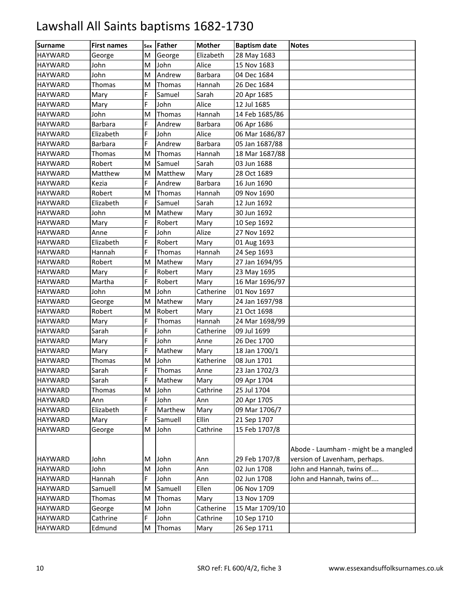| <b>Surname</b> | <b>First names</b> | Sex | Father  | <b>Mother</b>  | <b>Baptism date</b> | <b>Notes</b>                         |
|----------------|--------------------|-----|---------|----------------|---------------------|--------------------------------------|
| <b>HAYWARD</b> | George             | M   | George  | Elizabeth      | 28 May 1683         |                                      |
| <b>HAYWARD</b> | John               | M   | John    | Alice          | 15 Nov 1683         |                                      |
| <b>HAYWARD</b> | John               | M   | Andrew  | <b>Barbara</b> | 04 Dec 1684         |                                      |
| <b>HAYWARD</b> | Thomas             | M   | Thomas  | Hannah         | 26 Dec 1684         |                                      |
| <b>HAYWARD</b> | Mary               | F   | Samuel  | Sarah          | 20 Apr 1685         |                                      |
| <b>HAYWARD</b> | Mary               | F   | John    | Alice          | 12 Jul 1685         |                                      |
| <b>HAYWARD</b> | John               | M   | Thomas  | Hannah         | 14 Feb 1685/86      |                                      |
| <b>HAYWARD</b> | <b>Barbara</b>     | F   | Andrew  | Barbara        | 06 Apr 1686         |                                      |
| <b>HAYWARD</b> | Elizabeth          | F   | John    | Alice          | 06 Mar 1686/87      |                                      |
| <b>HAYWARD</b> | <b>Barbara</b>     | F   | Andrew  | Barbara        | 05 Jan 1687/88      |                                      |
| <b>HAYWARD</b> | Thomas             | M   | Thomas  | Hannah         | 18 Mar 1687/88      |                                      |
| <b>HAYWARD</b> | Robert             | M   | Samuel  | Sarah          | 03 Jun 1688         |                                      |
| <b>HAYWARD</b> | Matthew            | M   | Matthew | Mary           | 28 Oct 1689         |                                      |
| <b>HAYWARD</b> | Kezia              | F   | Andrew  | Barbara        | 16 Jun 1690         |                                      |
| <b>HAYWARD</b> | Robert             | M   | Thomas  | Hannah         | 09 Nov 1690         |                                      |
| <b>HAYWARD</b> | Elizabeth          | F   | Samuel  | Sarah          | 12 Jun 1692         |                                      |
| <b>HAYWARD</b> | John               | M   | Mathew  | Mary           | 30 Jun 1692         |                                      |
| <b>HAYWARD</b> | Mary               | F   | Robert  | Mary           | 10 Sep 1692         |                                      |
| <b>HAYWARD</b> | Anne               | F   | John    | Alize          | 27 Nov 1692         |                                      |
| <b>HAYWARD</b> | Elizabeth          | F   | Robert  | Mary           | 01 Aug 1693         |                                      |
| <b>HAYWARD</b> | Hannah             | F   | Thomas  | Hannah         | 24 Sep 1693         |                                      |
| <b>HAYWARD</b> | Robert             | M   | Mathew  | Mary           | 27 Jan 1694/95      |                                      |
| <b>HAYWARD</b> | Mary               | F   | Robert  | Mary           | 23 May 1695         |                                      |
| <b>HAYWARD</b> | Martha             | F   | Robert  | Mary           | 16 Mar 1696/97      |                                      |
| <b>HAYWARD</b> | John               | M   | John    | Catherine      | 01 Nov 1697         |                                      |
| <b>HAYWARD</b> | George             | M   | Mathew  | Mary           | 24 Jan 1697/98      |                                      |
| <b>HAYWARD</b> | Robert             | M   | Robert  | Mary           | 21 Oct 1698         |                                      |
| <b>HAYWARD</b> | Mary               | F   | Thomas  | Hannah         | 24 Mar 1698/99      |                                      |
| <b>HAYWARD</b> | Sarah              | F   | John    | Catherine      | 09 Jul 1699         |                                      |
| <b>HAYWARD</b> | Mary               | F   | John    | Anne           | 26 Dec 1700         |                                      |
| <b>HAYWARD</b> | Mary               | F   | Mathew  | Mary           | 18 Jan 1700/1       |                                      |
| <b>HAYWARD</b> | Thomas             | M   | John    | Katherine      | 08 Jun 1701         |                                      |
| <b>HAYWARD</b> | Sarah              | F   | Thomas  | Anne           | 23 Jan 1702/3       |                                      |
| <b>HAYWARD</b> | Sarah              | F   | Mathew  | Mary           | 09 Apr 1704         |                                      |
| <b>HAYWARD</b> | Thomas             | M   | John    | Cathrine       | 25 Jul 1704         |                                      |
| <b>HAYWARD</b> | Ann                | F   | John    | Ann            | 20 Apr 1705         |                                      |
| <b>HAYWARD</b> | Elizabeth          | F   | Marthew | Mary           | 09 Mar 1706/7       |                                      |
| <b>HAYWARD</b> | Mary               | F   | Samuell | Ellin          | 21 Sep 1707         |                                      |
| <b>HAYWARD</b> | George             | M   | John    | Cathrine       | 15 Feb 1707/8       |                                      |
|                |                    |     |         |                |                     | Abode - Laumham - might be a mangled |
| <b>HAYWARD</b> | John               | M   | John    | Ann            | 29 Feb 1707/8       | version of Lavenham, perhaps.        |
| <b>HAYWARD</b> | John               | M   | John    | Ann            | 02 Jun 1708         | John and Hannah, twins of            |
| <b>HAYWARD</b> | Hannah             | F   | John    | Ann            | 02 Jun 1708         | John and Hannah, twins of            |
| <b>HAYWARD</b> | Samuell            | M   | Samuell | Ellen          | 06 Nov 1709         |                                      |
| <b>HAYWARD</b> | Thomas             | M   | Thomas  | Mary           | 13 Nov 1709         |                                      |
| <b>HAYWARD</b> | George             | M   | John    | Catherine      | 15 Mar 1709/10      |                                      |
| <b>HAYWARD</b> | Cathrine           | F   | John    | Cathrine       | 10 Sep 1710         |                                      |
| <b>HAYWARD</b> | Edmund             | M   | Thomas  | Mary           | 26 Sep 1711         |                                      |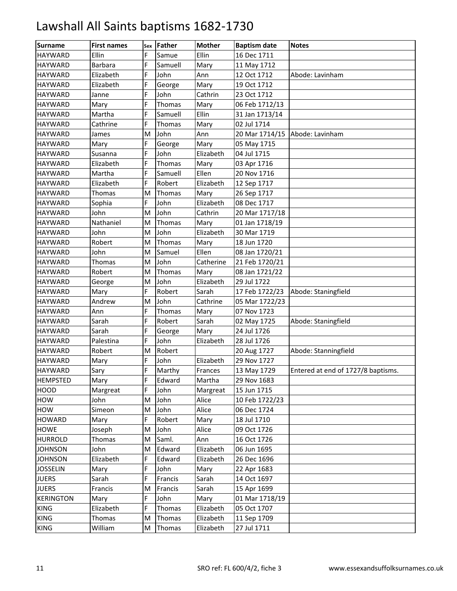| <b>Surname</b>   | <b>First names</b> | Sex | Father  | <b>Mother</b> | <b>Baptism date</b> | <b>Notes</b>                       |
|------------------|--------------------|-----|---------|---------------|---------------------|------------------------------------|
| <b>HAYWARD</b>   | Ellin              | F   | Samue   | Ellin         | 16 Dec 1711         |                                    |
| <b>HAYWARD</b>   | <b>Barbara</b>     | F   | Samuell | Mary          | 11 May 1712         |                                    |
| <b>HAYWARD</b>   | Elizabeth          | F   | John    | Ann           | 12 Oct 1712         | Abode: Lavinham                    |
| <b>HAYWARD</b>   | Elizabeth          | F   | George  | Mary          | 19 Oct 1712         |                                    |
| <b>HAYWARD</b>   | Janne              | F   | John    | Cathrin       | 23 Oct 1712         |                                    |
| <b>HAYWARD</b>   | Mary               | F   | Thomas  | Mary          | 06 Feb 1712/13      |                                    |
| <b>HAYWARD</b>   | Martha             | F   | Samuell | Ellin         | 31 Jan 1713/14      |                                    |
| <b>HAYWARD</b>   | Cathrine           | F   | Thomas  | Mary          | 02 Jul 1714         |                                    |
| <b>HAYWARD</b>   | James              | M   | John    | Ann           |                     | 20 Mar 1714/15 Abode: Lavinham     |
| <b>HAYWARD</b>   | Mary               | F   | George  | Mary          | 05 May 1715         |                                    |
| <b>HAYWARD</b>   | Susanna            | F   | John    | Elizabeth     | 04 Jul 1715         |                                    |
| <b>HAYWARD</b>   | Elizabeth          | F   | Thomas  | Mary          | 03 Apr 1716         |                                    |
| <b>HAYWARD</b>   | Martha             | F   | Samuell | Ellen         | 20 Nov 1716         |                                    |
| <b>HAYWARD</b>   | Elizabeth          | F   | Robert  | Elizabeth     | 12 Sep 1717         |                                    |
| <b>HAYWARD</b>   | Thomas             | M   | Thomas  | Mary          | 26 Sep 1717         |                                    |
| <b>HAYWARD</b>   | Sophia             | F   | John    | Elizabeth     | 08 Dec 1717         |                                    |
| <b>HAYWARD</b>   | John               | M   | John    | Cathrin       | 20 Mar 1717/18      |                                    |
| <b>HAYWARD</b>   | Nathaniel          | M   | Thomas  | Mary          | 01 Jan 1718/19      |                                    |
| <b>HAYWARD</b>   | John               | M   | John    | Elizabeth     | 30 Mar 1719         |                                    |
| <b>HAYWARD</b>   | Robert             | M   | Thomas  | Mary          | 18 Jun 1720         |                                    |
| <b>HAYWARD</b>   | John               | M   | Samuel  | Ellen         | 08 Jan 1720/21      |                                    |
| <b>HAYWARD</b>   | Thomas             | M   | John    | Catherine     | 21 Feb 1720/21      |                                    |
| <b>HAYWARD</b>   | Robert             | M   | Thomas  | Mary          | 08 Jan 1721/22      |                                    |
| <b>HAYWARD</b>   | George             | M   | John    | Elizabeth     | 29 Jul 1722         |                                    |
| <b>HAYWARD</b>   | Mary               | F   | Robert  | Sarah         | 17 Feb 1722/23      | Abode: Staningfield                |
| <b>HAYWARD</b>   | Andrew             | M   | John    | Cathrine      | 05 Mar 1722/23      |                                    |
| <b>HAYWARD</b>   | Ann                | F   | Thomas  | Mary          | 07 Nov 1723         |                                    |
| <b>HAYWARD</b>   | Sarah              | F   | Robert  | Sarah         | 02 May 1725         | Abode: Staningfield                |
| <b>HAYWARD</b>   | Sarah              | F   | George  | Mary          | 24 Jul 1726         |                                    |
| <b>HAYWARD</b>   | Palestina          | F   | John    | Elizabeth     | 28 Jul 1726         |                                    |
| <b>HAYWARD</b>   | Robert             | M   | Robert  |               | 20 Aug 1727         | Abode: Stanningfield               |
| <b>HAYWARD</b>   | Mary               | F   | John    | Elizabeth     | 29 Nov 1727         |                                    |
| <b>HAYWARD</b>   | Sary               | F   | Marthy  | Frances       | 13 May 1729         | Entered at end of 1727/8 baptisms. |
| <b>HEMPSTED</b>  | Mary               | F   | Edward  | Martha        | 29 Nov 1683         |                                    |
| <b>HOOD</b>      | Margreat           | F   | John    | Margreat      | 15 Jun 1715         |                                    |
| HOW              | John               | M   | John    | Alice         | 10 Feb 1722/23      |                                    |
| HOW              | Simeon             | M   | John    | Alice         | 06 Dec 1724         |                                    |
| <b>HOWARD</b>    | Mary               | F.  | Robert  | Mary          | 18 Jul 1710         |                                    |
| <b>HOWE</b>      | Joseph             | M   | John    | Alice         | 09 Oct 1726         |                                    |
| <b>HURROLD</b>   | Thomas             | M   | Saml.   | Ann           | 16 Oct 1726         |                                    |
| <b>JOHNSON</b>   | John               | M   | Edward  | Elizabeth     | 06 Jun 1695         |                                    |
| <b>JOHNSON</b>   | Elizabeth          | F   | Edward  | Elizabeth     | 26 Dec 1696         |                                    |
| <b>JOSSELIN</b>  | Mary               | F   | John    | Mary          | 22 Apr 1683         |                                    |
| <b>JUERS</b>     | Sarah              | F   | Francis | Sarah         | 14 Oct 1697         |                                    |
| <b>JUERS</b>     | Francis            | M   | Francis | Sarah         | 15 Apr 1699         |                                    |
| <b>KERINGTON</b> | Mary               | F   | John    | Mary          | 01 Mar 1718/19      |                                    |
| KING             | Elizabeth          | F   | Thomas  | Elizabeth     | 05 Oct 1707         |                                    |
| <b>KING</b>      | Thomas             | M   | Thomas  | Elizabeth     | 11 Sep 1709         |                                    |
| <b>KING</b>      | William            | M   | Thomas  | Elizabeth     | 27 Jul 1711         |                                    |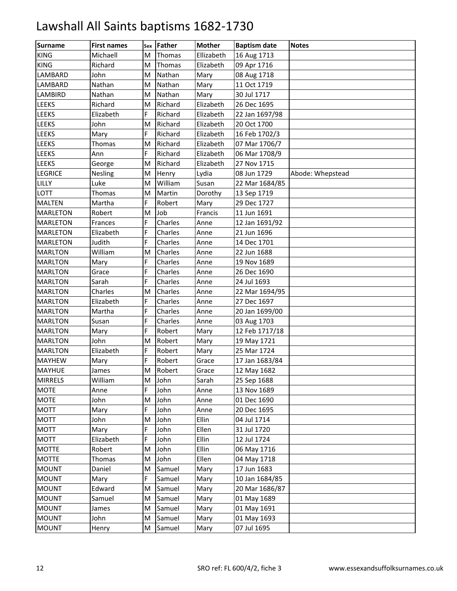| <b>Surname</b>  | <b>First names</b> | Sex | <b>Father</b> | <b>Mother</b> | <b>Baptism date</b> | <b>Notes</b>     |
|-----------------|--------------------|-----|---------------|---------------|---------------------|------------------|
| <b>KING</b>     | Michaell           | M   | Thomas        | Ellizabeth    | 16 Aug 1713         |                  |
| <b>KING</b>     | Richard            | M   | Thomas        | Elizabeth     | 09 Apr 1716         |                  |
| LAMBARD         | John               | M   | Nathan        | Mary          | 08 Aug 1718         |                  |
| LAMBARD         | Nathan             | M   | Nathan        | Mary          | 11 Oct 1719         |                  |
| <b>LAMBIRD</b>  | Nathan             | M   | Nathan        | Mary          | 30 Jul 1717         |                  |
| <b>LEEKS</b>    | Richard            | M   | Richard       | Elizabeth     | 26 Dec 1695         |                  |
| <b>LEEKS</b>    | Elizabeth          | F   | Richard       | Elizabeth     | 22 Jan 1697/98      |                  |
| <b>LEEKS</b>    | John               | M   | Richard       | Elizabeth     | 20 Oct 1700         |                  |
| <b>LEEKS</b>    | Mary               | F   | Richard       | Elizabeth     | 16 Feb 1702/3       |                  |
| <b>LEEKS</b>    | Thomas             | M   | Richard       | Elizabeth     | 07 Mar 1706/7       |                  |
| <b>LEEKS</b>    | Ann                | F   | Richard       | Elizabeth     | 06 Mar 1708/9       |                  |
| <b>LEEKS</b>    | George             | M   | Richard       | Elizabeth     | 27 Nov 1715         |                  |
| <b>LEGRICE</b>  | <b>Nesling</b>     | M   | Henry         | Lydia         | 08 Jun 1729         | Abode: Whepstead |
| LILLY           | Luke               | M   | William       | Susan         | 22 Mar 1684/85      |                  |
| LOTT            | Thomas             | M   | Martin        | Dorothy       | 13 Sep 1719         |                  |
| <b>MALTEN</b>   | Martha             | F   | Robert        | Mary          | 29 Dec 1727         |                  |
| <b>MARLETON</b> | Robert             | M   | Job           | Francis       | 11 Jun 1691         |                  |
| <b>MARLETON</b> | Frances            | F.  | Charles       | Anne          | 12 Jan 1691/92      |                  |
| <b>MARLETON</b> | Elizabeth          | F   | Charles       | Anne          | 21 Jun 1696         |                  |
| <b>MARLETON</b> | Judith             | F   | Charles       | Anne          | 14 Dec 1701         |                  |
| <b>MARLTON</b>  | William            | M   | Charles       | Anne          | 22 Jun 1688         |                  |
| <b>MARLTON</b>  | Mary               | F   | Charles       | Anne          | 19 Nov 1689         |                  |
| <b>MARLTON</b>  | Grace              | F   | Charles       | Anne          | 26 Dec 1690         |                  |
| <b>MARLTON</b>  | Sarah              | F   | Charles       | Anne          | 24 Jul 1693         |                  |
| <b>MARLTON</b>  | Charles            | M   | Charles       | Anne          | 22 Mar 1694/95      |                  |
| <b>MARLTON</b>  | Elizabeth          | F   | Charles       | Anne          | 27 Dec 1697         |                  |
| <b>MARLTON</b>  | Martha             | F   | Charles       | Anne          | 20 Jan 1699/00      |                  |
| <b>MARLTON</b>  | Susan              | F   | Charles       | Anne          | 03 Aug 1703         |                  |
| <b>MARLTON</b>  | Mary               | F   | Robert        | Mary          | 12 Feb 1717/18      |                  |
| <b>MARLTON</b>  | John               | M   | Robert        | Mary          | 19 May 1721         |                  |
| <b>MARLTON</b>  | Elizabeth          | F   | Robert        | Mary          | 25 Mar 1724         |                  |
| <b>MAYHEW</b>   | Mary               | F   | Robert        | Grace         | 17 Jan 1683/84      |                  |
| <b>MAYHUE</b>   | James              | M   | Robert        | Grace         | 12 May 1682         |                  |
| <b>MIRRELS</b>  | William            | M   | John          | Sarah         | 25 Sep 1688         |                  |
| <b>MOTE</b>     | Anne               | F.  | John          | Anne          | 13 Nov 1689         |                  |
| <b>MOTE</b>     | John               | M   | John          | Anne          | 01 Dec 1690         |                  |
| <b>MOTT</b>     | Mary               | F   | John          | Anne          | 20 Dec 1695         |                  |
| <b>MOTT</b>     | John               | Μ   | John          | Ellin         | 04 Jul 1714         |                  |
| <b>MOTT</b>     | Mary               | F   | John          | Ellen         | 31 Jul 1720         |                  |
| <b>MOTT</b>     | Elizabeth          | F   | John          | Ellin         | 12 Jul 1724         |                  |
| <b>MOTTE</b>    | Robert             | M   | John          | Ellin         | 06 May 1716         |                  |
| <b>MOTTE</b>    | Thomas             | M   | John          | Ellen         | 04 May 1718         |                  |
| <b>MOUNT</b>    | Daniel             | Μ   | Samuel        | Mary          | 17 Jun 1683         |                  |
| <b>MOUNT</b>    | Mary               | F.  | Samuel        | Mary          | 10 Jan 1684/85      |                  |
| <b>MOUNT</b>    | Edward             | M   | Samuel        | Mary          | 20 Mar 1686/87      |                  |
| <b>MOUNT</b>    | Samuel             | M   | Samuel        | Mary          | 01 May 1689         |                  |
| <b>MOUNT</b>    | James              | M   | Samuel        | Mary          | 01 May 1691         |                  |
| <b>MOUNT</b>    | John               | M   | Samuel        | Mary          | 01 May 1693         |                  |
| <b>MOUNT</b>    | Henry              | M   | Samuel        | Mary          | 07 Jul 1695         |                  |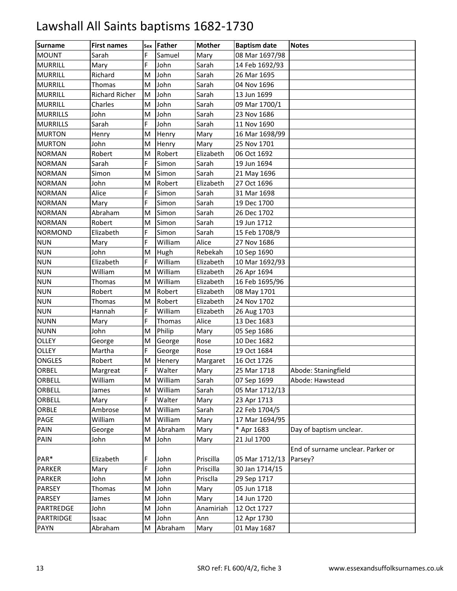| <b>Surname</b>   | <b>First names</b>    | Sex | Father  | <b>Mother</b> | <b>Baptism date</b> | <b>Notes</b>                                 |
|------------------|-----------------------|-----|---------|---------------|---------------------|----------------------------------------------|
| <b>MOUNT</b>     | Sarah                 | E   | Samuel  | Mary          | 08 Mar 1697/98      |                                              |
| <b>MURRILL</b>   | Mary                  | F   | John    | Sarah         | 14 Feb 1692/93      |                                              |
| <b>MURRILL</b>   | Richard               | M   | John    | Sarah         | 26 Mar 1695         |                                              |
| <b>MURRILL</b>   | Thomas                | M   | John    | Sarah         | 04 Nov 1696         |                                              |
| <b>MURRILL</b>   | <b>Richard Richer</b> | M   | John    | Sarah         | 13 Jun 1699         |                                              |
| <b>MURRILL</b>   | Charles               | M   | John    | Sarah         | 09 Mar 1700/1       |                                              |
| <b>MURRILLS</b>  | John                  | M   | John    | Sarah         | 23 Nov 1686         |                                              |
| <b>MURRILLS</b>  | Sarah                 | E.  | John    | Sarah         | 11 Nov 1690         |                                              |
| <b>MURTON</b>    | Henry                 | M   | Henry   | Mary          | 16 Mar 1698/99      |                                              |
| <b>MURTON</b>    | John                  | M   | Henry   | Mary          | 25 Nov 1701         |                                              |
| <b>NORMAN</b>    | Robert                | м   | Robert  | Elizabeth     | 06 Oct 1692         |                                              |
| <b>NORMAN</b>    | Sarah                 | F   | Simon   | Sarah         | 19 Jun 1694         |                                              |
| <b>NORMAN</b>    | Simon                 | M   | Simon   | Sarah         | 21 May 1696         |                                              |
| <b>NORMAN</b>    | John                  | M   | Robert  | Elizabeth     | 27 Oct 1696         |                                              |
| <b>NORMAN</b>    | Alice                 | E.  | Simon   | Sarah         | 31 Mar 1698         |                                              |
| <b>NORMAN</b>    | Mary                  | F   | Simon   | Sarah         | 19 Dec 1700         |                                              |
| <b>NORMAN</b>    | Abraham               | M   | Simon   | Sarah         | 26 Dec 1702         |                                              |
| <b>NORMAN</b>    | Robert                | м   | Simon   | Sarah         | 19 Jun 1712         |                                              |
| <b>NORMOND</b>   | Elizabeth             | E.  | Simon   | Sarah         | 15 Feb 1708/9       |                                              |
| <b>NUN</b>       | Mary                  | E.  | William | Alice         | 27 Nov 1686         |                                              |
| <b>NUN</b>       | John                  | M   | Hugh    | Rebekah       | 10 Sep 1690         |                                              |
| <b>NUN</b>       | Elizabeth             | F   | William | Elizabeth     | 10 Mar 1692/93      |                                              |
| <b>NUN</b>       | William               | M   | William | Elizabeth     | 26 Apr 1694         |                                              |
| <b>NUN</b>       | Thomas                | M   | William | Elizabeth     | 16 Feb 1695/96      |                                              |
| <b>NUN</b>       | Robert                | M   | Robert  | Elizabeth     | 08 May 1701         |                                              |
| <b>NUN</b>       | Thomas                | M   | Robert  | Elizabeth     | 24 Nov 1702         |                                              |
| <b>NUN</b>       | Hannah                | F.  | William | Elizabeth     | 26 Aug 1703         |                                              |
| <b>NUNN</b>      | Mary                  | E.  | Thomas  | Alice         | 13 Dec 1683         |                                              |
| <b>NUNN</b>      | John                  | M   | Philip  | Mary          | 05 Sep 1686         |                                              |
| <b>OLLEY</b>     | George                | M   | George  | Rose          | 10 Dec 1682         |                                              |
| OLLEY            | Martha                | Ë   | George  | Rose          | 19 Oct 1684         |                                              |
| ONGLES           | Robert                | M   | Henery  | Margaret      | 16 Oct 1726         |                                              |
| <b>ORBEL</b>     | Margreat              | F   | Walter  | Mary          | 25 Mar 1718         | Abode: Staningfield                          |
| ORBELL           | William               | M   | William | Sarah         | 07 Sep 1699         | Abode: Hawstead                              |
| ORBELL           | James                 | M   | William | Sarah         | 05 Mar 1712/13      |                                              |
| ORBELL           | Mary                  | F.  | Walter  | Mary          | 23 Apr 1713         |                                              |
| ORBLE            | Ambrose               | M   | William | Sarah         | 22 Feb 1704/5       |                                              |
| PAGE             | William               | M   | William | Mary          | 17 Mar 1694/95      |                                              |
| PAIN             | George                | M   | Abraham | Mary          | * Apr 1683          | Day of baptism unclear.                      |
| PAIN             | John                  | M   | John    | Mary          | 21 Jul 1700         |                                              |
| PAR*             | Elizabeth             | F   | John    | Priscilla     | 05 Mar 1712/13      | End of surname unclear. Parker or<br>Parsey? |
| <b>PARKER</b>    | Mary                  | F   | John    | Priscilla     | 30 Jan 1714/15      |                                              |
| <b>PARKER</b>    | John                  | M   | John    | Prisclla      | 29 Sep 1717         |                                              |
| PARSEY           | Thomas                | M   | John    | Mary          | 05 Jun 1718         |                                              |
| <b>PARSEY</b>    | James                 | M   | John    | Mary          | 14 Jun 1720         |                                              |
| <b>PARTREDGE</b> | John                  | М   | John    | Anamiriah     | 12 Oct 1727         |                                              |
| <b>PARTRIDGE</b> | Isaac                 | М   | John    | Ann           | 12 Apr 1730         |                                              |
| <b>PAYN</b>      | Abraham               | M   | Abraham | Mary          | 01 May 1687         |                                              |
|                  |                       |     |         |               |                     |                                              |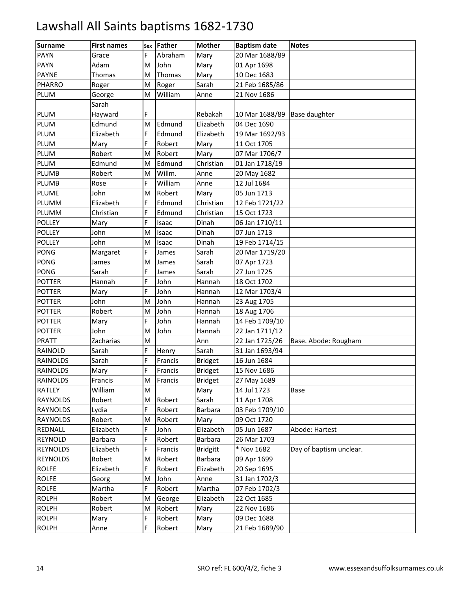| Surname         | <b>First names</b> | Sex | Father  | <b>Mother</b>   | <b>Baptism date</b>          | <b>Notes</b>            |
|-----------------|--------------------|-----|---------|-----------------|------------------------------|-------------------------|
| <b>PAYN</b>     | Grace              | F   | Abraham | Mary            | 20 Mar 1688/89               |                         |
| <b>PAYN</b>     | Adam               | M   | John    | Mary            | 01 Apr 1698                  |                         |
| <b>PAYNE</b>    | Thomas             | M   | Thomas  | Mary            | 10 Dec 1683                  |                         |
| <b>PHARRO</b>   | Roger              | M   | Roger   | Sarah           | 21 Feb 1685/86               |                         |
| PLUM            | George             | M   | William | Anne            | 21 Nov 1686                  |                         |
|                 | Sarah              |     |         |                 |                              |                         |
| PLUM            | Hayward            | F   |         | Rebakah         | 10 Mar 1688/89 Base daughter |                         |
| <b>PLUM</b>     | Edmund             | M   | Edmund  | Elizabeth       | 04 Dec 1690                  |                         |
| PLUM            | Elizabeth          | F.  | Edmund  | Elizabeth       | 19 Mar 1692/93               |                         |
| PLUM            | Mary               | F   | Robert  | Mary            | 11 Oct 1705                  |                         |
| <b>PLUM</b>     | Robert             | M   | Robert  | Mary            | 07 Mar 1706/7                |                         |
| PLUM            | Edmund             | M   | Edmund  | Christian       | 01 Jan 1718/19               |                         |
| <b>PLUMB</b>    | Robert             | M   | Willm.  | Anne            | 20 May 1682                  |                         |
| <b>PLUMB</b>    | Rose               | F.  | William | Anne            | 12 Jul 1684                  |                         |
| <b>PLUME</b>    | John               | M   | Robert  | Mary            | 05 Jun 1713                  |                         |
| PLUMM           | Elizabeth          | F   | Edmund  | Christian       | 12 Feb 1721/22               |                         |
| PLUMM           | Christian          | F   | Edmund  | Christian       | 15 Oct 1723                  |                         |
| <b>POLLEY</b>   | Mary               | Ė   | Isaac   | Dinah           | 06 Jan 1710/11               |                         |
| <b>POLLEY</b>   | John               | M   | Isaac   | Dinah           | 07 Jun 1713                  |                         |
| <b>POLLEY</b>   | John               | M   | Isaac   | Dinah           | 19 Feb 1714/15               |                         |
| <b>PONG</b>     | Margaret           | F   | James   | Sarah           | 20 Mar 1719/20               |                         |
| <b>PONG</b>     | James              | M   | James   | Sarah           | 07 Apr 1723                  |                         |
| <b>PONG</b>     | Sarah              | F   | James   | Sarah           | 27 Jun 1725                  |                         |
| <b>POTTER</b>   | Hannah             | F   | John    | Hannah          | 18 Oct 1702                  |                         |
| <b>POTTER</b>   | Mary               | F   | John    | Hannah          | 12 Mar 1703/4                |                         |
| <b>POTTER</b>   | John               | M   | John    | Hannah          | 23 Aug 1705                  |                         |
| <b>POTTER</b>   | Robert             | M   | John    | Hannah          | 18 Aug 1706                  |                         |
| <b>POTTER</b>   | Mary               | Ė   | John    | Hannah          | 14 Feb 1709/10               |                         |
| <b>POTTER</b>   | John               | M   | John    | Hannah          | 22 Jan 1711/12               |                         |
| <b>PRATT</b>    | Zacharias          | M   |         | Ann             | 22 Jan 1725/26               | Base. Abode: Rougham    |
| <b>RAINOLD</b>  | Sarah              | F   | Henry   | Sarah           | 31 Jan 1693/94               |                         |
| <b>RAINOLDS</b> | Sarah              | F   | Francis | <b>Bridget</b>  | 16 Jun 1684                  |                         |
| <b>RAINOLDS</b> | Mary               | F   | Francis | <b>Bridget</b>  | 15 Nov 1686                  |                         |
| <b>RAINOLDS</b> | Francis            | M   | Francis | <b>Bridget</b>  | 27 May 1689                  |                         |
| <b>RATLEY</b>   | William            | M   |         | Mary            | 14 Jul 1723                  | Base                    |
| <b>RAYNOLDS</b> | Robert             | M   | Robert  | Sarah           | 11 Apr 1708                  |                         |
| <b>RAYNOLDS</b> | Lydia              | F   | Robert  | <b>Barbara</b>  | 03 Feb 1709/10               |                         |
| <b>RAYNOLDS</b> | Robert             | M   | Robert  | Mary            | 09 Oct 1720                  |                         |
| <b>REDNALL</b>  | Elizabeth          | F   | John    | Elizabeth       | 05 Jun 1687                  | Abode: Hartest          |
| <b>REYNOLD</b>  | Barbara            | F   | Robert  | Barbara         | 26 Mar 1703                  |                         |
| <b>REYNOLDS</b> | Elizabeth          | F   | Francis | <b>Bridgitt</b> | * Nov 1682                   | Day of baptism unclear. |
| <b>REYNOLDS</b> | Robert             | M   | Robert  | <b>Barbara</b>  | 09 Apr 1699                  |                         |
| <b>ROLFE</b>    | Elizabeth          | F   | Robert  | Elizabeth       | 20 Sep 1695                  |                         |
| <b>ROLFE</b>    | Georg              | M   | John    | Anne            | 31 Jan 1702/3                |                         |
| <b>ROLFE</b>    | Martha             | F.  | Robert  | Martha          | 07 Feb 1702/3                |                         |
| <b>ROLPH</b>    | Robert             | M   | George  | Elizabeth       | 22 Oct 1685                  |                         |
| <b>ROLPH</b>    | Robert             | M   | Robert  | Mary            | 22 Nov 1686                  |                         |
| <b>ROLPH</b>    | Mary               | F   | Robert  | Mary            | 09 Dec 1688                  |                         |
| <b>ROLPH</b>    | Anne               | F.  | Robert  | Mary            | 21 Feb 1689/90               |                         |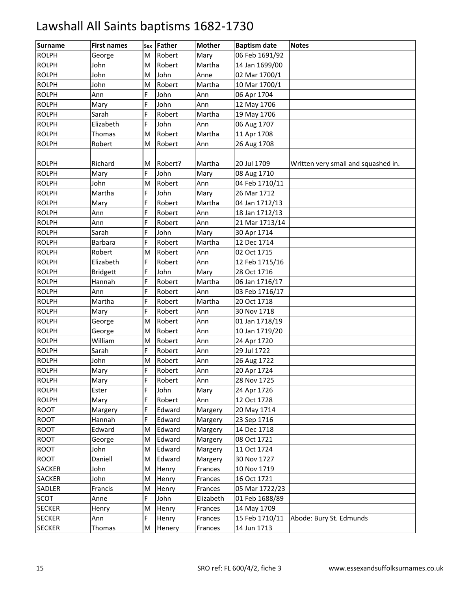| <b>Surname</b> | <b>First names</b> | Sex | Father  | <b>Mother</b> | <b>Baptism date</b> | <b>Notes</b>                        |
|----------------|--------------------|-----|---------|---------------|---------------------|-------------------------------------|
| <b>ROLPH</b>   | George             | M   | Robert  | Mary          | 06 Feb 1691/92      |                                     |
| <b>ROLPH</b>   | John               | M   | Robert  | Martha        | 14 Jan 1699/00      |                                     |
| <b>ROLPH</b>   | John               | M   | John    | Anne          | 02 Mar 1700/1       |                                     |
| <b>ROLPH</b>   | John               | M   | Robert  | Martha        | 10 Mar 1700/1       |                                     |
| <b>ROLPH</b>   | Ann                | E.  | John    | Ann           | 06 Apr 1704         |                                     |
| <b>ROLPH</b>   | Mary               | F   | John    | Ann           | 12 May 1706         |                                     |
| <b>ROLPH</b>   | Sarah              | F   | Robert  | Martha        | 19 May 1706         |                                     |
| <b>ROLPH</b>   | Elizabeth          | F.  | John    | Ann           | 06 Aug 1707         |                                     |
| <b>ROLPH</b>   | Thomas             | M   | Robert  | Martha        | 11 Apr 1708         |                                     |
| <b>ROLPH</b>   | Robert             | M   | Robert  | Ann           | 26 Aug 1708         |                                     |
|                |                    |     |         |               |                     |                                     |
| <b>ROLPH</b>   | Richard            | M   | Robert? | Martha        | 20 Jul 1709         | Written very small and squashed in. |
| <b>ROLPH</b>   | Mary               | F.  | John    | Mary          | 08 Aug 1710         |                                     |
| <b>ROLPH</b>   | John               | M   | Robert  | Ann           | 04 Feb 1710/11      |                                     |
| <b>ROLPH</b>   | Martha             | E.  | John    | Mary          | 26 Mar 1712         |                                     |
| <b>ROLPH</b>   | Mary               | F   | Robert  | Martha        | 04 Jan 1712/13      |                                     |
| <b>ROLPH</b>   | Ann                | F   | Robert  | Ann           | 18 Jan 1712/13      |                                     |
| <b>ROLPH</b>   | Ann                | E.  | Robert  | Ann           | 21 Mar 1713/14      |                                     |
| <b>ROLPH</b>   | Sarah              | E.  | John    | Mary          | 30 Apr 1714         |                                     |
| <b>ROLPH</b>   | Barbara            | Ë   | Robert  | Martha        | 12 Dec 1714         |                                     |
| <b>ROLPH</b>   | Robert             | M   | Robert  | Ann           | 02 Oct 1715         |                                     |
| <b>ROLPH</b>   | Elizabeth          | F   | Robert  | Ann           | 12 Feb 1715/16      |                                     |
| <b>ROLPH</b>   | <b>Bridgett</b>    | F.  | John    | Mary          | 28 Oct 1716         |                                     |
| <b>ROLPH</b>   | Hannah             | E   | Robert  | Martha        | 06 Jan 1716/17      |                                     |
| <b>ROLPH</b>   | Ann                | Ë   | Robert  | Ann           | 03 Feb 1716/17      |                                     |
| <b>ROLPH</b>   | Martha             | E   | Robert  | Martha        | 20 Oct 1718         |                                     |
| <b>ROLPH</b>   | Mary               | F   | Robert  | Ann           | 30 Nov 1718         |                                     |
| <b>ROLPH</b>   | George             | M   | Robert  | Ann           | 01 Jan 1718/19      |                                     |
| <b>ROLPH</b>   | George             | M   | Robert  | Ann           | 10 Jan 1719/20      |                                     |
| <b>ROLPH</b>   | William            | M   | Robert  | Ann           | 24 Apr 1720         |                                     |
| <b>ROLPH</b>   | Sarah              | F   | Robert  | Ann           | 29 Jul 1722         |                                     |
| <b>ROLPH</b>   | John               | M   | Robert  | Ann           | 26 Aug 1722         |                                     |
| <b>ROLPH</b>   | Mary               | F   | Robert  | Ann           | 20 Apr 1724         |                                     |
| <b>ROLPH</b>   | Mary               | F   | Robert  | Ann           | 28 Nov 1725         |                                     |
| <b>ROLPH</b>   | Ester              | F   | John    | Mary          | 24 Apr 1726         |                                     |
| <b>ROLPH</b>   | Mary               | F   | Robert  | Ann           | 12 Oct 1728         |                                     |
| <b>ROOT</b>    | Margery            | F   | Edward  | Margery       | 20 May 1714         |                                     |
| <b>ROOT</b>    | Hannah             | F   | Edward  | Margery       | 23 Sep 1716         |                                     |
| <b>ROOT</b>    | Edward             | M   | Edward  | Margery       | 14 Dec 1718         |                                     |
| <b>ROOT</b>    | George             | M   | Edward  | Margery       | 08 Oct 1721         |                                     |
| <b>ROOT</b>    | John               | M   | Edward  | Margery       | 11 Oct 1724         |                                     |
| <b>ROOT</b>    | Daniell            | M   | Edward  | Margery       | 30 Nov 1727         |                                     |
| <b>SACKER</b>  | John               | M   | Henry   | Frances       | 10 Nov 1719         |                                     |
| <b>SACKER</b>  | John               | M   | Henry   | Frances       | 16 Oct 1721         |                                     |
| SADLER         | Francis            | M   | Henry   | Frances       | 05 Mar 1722/23      |                                     |
| SCOT           | Anne               | F   | John    | Elizabeth     | 01 Feb 1688/89      |                                     |
| <b>SECKER</b>  | Henry              | M   | Henry   | Frances       | 14 May 1709         |                                     |
| <b>SECKER</b>  | Ann                | F   | Henry   | Frances       | 15 Feb 1710/11      | Abode: Bury St. Edmunds             |
| <b>SECKER</b>  | Thomas             | M   | Henery  | Frances       | 14 Jun 1713         |                                     |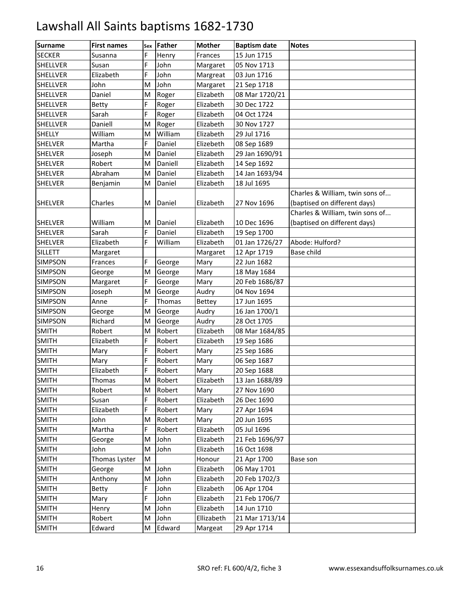| <b>Surname</b>  | <b>First names</b> | Sex | Father  | <b>Mother</b> | <b>Baptism date</b> | <b>Notes</b>                    |
|-----------------|--------------------|-----|---------|---------------|---------------------|---------------------------------|
| <b>SECKER</b>   | Susanna            | E.  | Henry   | Frances       | 15 Jun 1715         |                                 |
| <b>SHELLVER</b> | Susan              | Ë   | John    | Margaret      | 05 Nov 1713         |                                 |
| <b>SHELLVER</b> | Elizabeth          | F   | John    | Margreat      | 03 Jun 1716         |                                 |
| <b>SHELLVER</b> | John               | M   | John    | Margaret      | 21 Sep 1718         |                                 |
| <b>SHELLVER</b> | Daniel             | M   | Roger   | Elizabeth     | 08 Mar 1720/21      |                                 |
| <b>SHELLVER</b> | Betty              | F.  | Roger   | Elizabeth     | 30 Dec 1722         |                                 |
| <b>SHELLVER</b> | Sarah              | F   | Roger   | Elizabeth     | 04 Oct 1724         |                                 |
| <b>SHELLVER</b> | Daniell            | M   | Roger   | Elizabeth     | 30 Nov 1727         |                                 |
| <b>SHELLY</b>   | William            | м   | William | Elizabeth     | 29 Jul 1716         |                                 |
| <b>SHELVER</b>  | Martha             | E.  | Daniel  | Elizebeth     | 08 Sep 1689         |                                 |
| <b>SHELVER</b>  | Joseph             | M   | Daniel  | Elizabeth     | 29 Jan 1690/91      |                                 |
| <b>SHELVER</b>  | Robert             | M   | Daniell | Elizabeth     | 14 Sep 1692         |                                 |
| <b>SHELVER</b>  | Abraham            | M   | Daniel  | Elizabeth     | 14 Jan 1693/94      |                                 |
| <b>SHELVER</b>  | Benjamin           | M   | Daniel  | Elizabeth     | 18 Jul 1695         |                                 |
|                 |                    |     |         |               |                     | Charles & William, twin sons of |
| <b>SHELVER</b>  | Charles            | M   | Daniel  | Elizabeth     | 27 Nov 1696         | (baptised on different days)    |
|                 |                    |     |         |               |                     | Charles & William, twin sons of |
| <b>SHELVER</b>  | William            | М   | Daniel  | Elizabeth     | 10 Dec 1696         | (baptised on different days)    |
| <b>SHELVER</b>  | Sarah              | E.  | Daniel  | Elizabeth     | 19 Sep 1700         |                                 |
| <b>SHELVER</b>  | Elizabeth          | E.  | William | Elizabeth     | 01 Jan 1726/27      | Abode: Hulford?                 |
| <b>SILLETT</b>  | Margaret           |     |         | Margaret      | 12 Apr 1719         | Base child                      |
| <b>SIMPSON</b>  | Frances            | F   | George  | Mary          | 22 Jun 1682         |                                 |
| <b>SIMPSON</b>  | George             | M   | George  | Mary          | 18 May 1684         |                                 |
| <b>SIMPSON</b>  | Margaret           | E.  | George  | Mary          | 20 Feb 1686/87      |                                 |
| <b>SIMPSON</b>  | Joseph             | M   | George  | Audry         | 04 Nov 1694         |                                 |
| <b>SIMPSON</b>  | Anne               | F.  | Thomas  | <b>Bettey</b> | 17 Jun 1695         |                                 |
| <b>SIMPSON</b>  | George             | M   | George  | Audry         | 16 Jan 1700/1       |                                 |
| <b>SIMPSON</b>  | Richard            | M   | George  | Audry         | 28 Oct 1705         |                                 |
| <b>SMITH</b>    | Robert             | M   | Robert  | Elizabeth     | 08 Mar 1684/85      |                                 |
| <b>SMITH</b>    | Elizabeth          | E.  | Robert  | Elizabeth     | 19 Sep 1686         |                                 |
| <b>SMITH</b>    | Mary               | F   | Robert  | Mary          | 25 Sep 1686         |                                 |
| <b>SMITH</b>    | Mary               | Ë   | Robert  | Mary          | 06 Sep 1687         |                                 |
| <b>SMITH</b>    | Elizabeth          | F   | Robert  | Mary          | 20 Sep 1688         |                                 |
| <b>SMITH</b>    | Thomas             | М   | Robert  | Elizabeth     | 13 Jan 1688/89      |                                 |
| <b>SMITH</b>    | Robert             | M   | Robert  | Mary          | 27 Nov 1690         |                                 |
| <b>SMITH</b>    | Susan              | F   | Robert  | Elizabeth     | 26 Dec 1690         |                                 |
| <b>SMITH</b>    | Elizabeth          | F   | Robert  | Mary          | 27 Apr 1694         |                                 |
| <b>SMITH</b>    | John               | M   | Robert  | Mary          | 20 Jun 1695         |                                 |
| <b>SMITH</b>    | Martha             | F   | Robert  | Elizabeth     | 05 Jul 1696         |                                 |
| <b>SMITH</b>    | George             | M   | John    | Elizabeth     | 21 Feb 1696/97      |                                 |
| <b>SMITH</b>    | John               | M   | John    | Elizabeth     | 16 Oct 1698         |                                 |
| <b>SMITH</b>    | Thomas Lyster      | M   |         | Honour        | 21 Apr 1700         | Base son                        |
| <b>SMITH</b>    | George             | M   | John    | Elizabeth     | 06 May 1701         |                                 |
| <b>SMITH</b>    | Anthony            | M   | John    | Elizabeth     | 20 Feb 1702/3       |                                 |
| <b>SMITH</b>    | Betty              | F   | John    | Elizabeth     | 06 Apr 1704         |                                 |
| <b>SMITH</b>    | Mary               | F   | John    | Elizabeth     | 21 Feb 1706/7       |                                 |
| <b>SMITH</b>    | Henry              | M   | John    | Elizabeth     | 14 Jun 1710         |                                 |
| <b>SMITH</b>    | Robert             | M   | John    | Ellizabeth    | 21 Mar 1713/14      |                                 |
| <b>SMITH</b>    | Edward             | M   | Edward  | Margeat       | 29 Apr 1714         |                                 |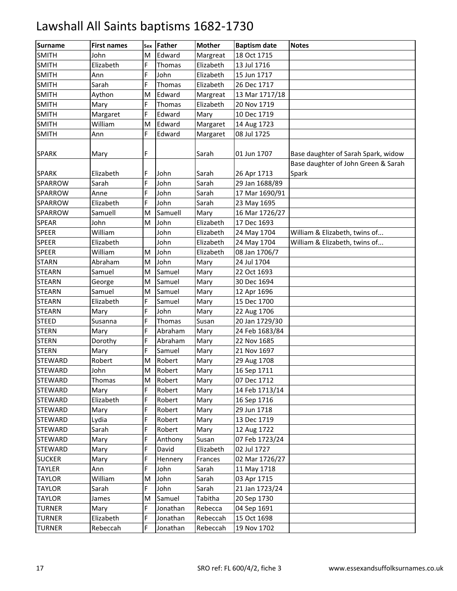| <b>Surname</b> | <b>First names</b> | Sex | <b>Father</b> | <b>Mother</b> | <b>Baptism date</b> | <b>Notes</b>                                 |
|----------------|--------------------|-----|---------------|---------------|---------------------|----------------------------------------------|
| <b>SMITH</b>   | John               | M   | Edward        | Margreat      | 18 Oct 1715         |                                              |
| <b>SMITH</b>   | Elizabeth          | F   | Thomas        | Elizabeth     | 13 Jul 1716         |                                              |
| <b>SMITH</b>   | Ann                | F   | John          | Elizabeth     | 15 Jun 1717         |                                              |
| <b>SMITH</b>   | Sarah              | E.  | Thomas        | Elizabeth     | 26 Dec 1717         |                                              |
| <b>SMITH</b>   | Aython             | M   | Edward        | Margreat      | 13 Mar 1717/18      |                                              |
| <b>SMITH</b>   | Mary               | F.  | Thomas        | Elizabeth     | 20 Nov 1719         |                                              |
| <b>SMITH</b>   | Margaret           | F   | Edward        | Mary          | 10 Dec 1719         |                                              |
| <b>SMITH</b>   | William            | M   | Edward        | Margaret      | 14 Aug 1723         |                                              |
| <b>SMITH</b>   | Ann                | E.  | Edward        | Margaret      | 08 Jul 1725         |                                              |
| <b>SPARK</b>   | Mary               | F.  |               | Sarah         | 01 Jun 1707         | Base daughter of Sarah Spark, widow          |
| <b>SPARK</b>   | Elizabeth          | F   | John          | Sarah         | 26 Apr 1713         | Base daughter of John Green & Sarah<br>Spark |
| SPARROW        | Sarah              | F   | John          | Sarah         | 29 Jan 1688/89      |                                              |
| SPARROW        | Anne               | E.  | John          | Sarah         | 17 Mar 1690/91      |                                              |
| SPARROW        | Elizabeth          | F.  | John          | Sarah         | 23 May 1695         |                                              |
| SPARROW        | Samuell            | M   | Samuell       | Mary          | 16 Mar 1726/27      |                                              |
| <b>SPEAR</b>   | John               | M   | John          | Elizabeth     | 17 Dec 1693         |                                              |
| <b>SPEER</b>   | William            |     | John          | Elizabeth     | 24 May 1704         | William & Elizabeth, twins of                |
| <b>SPEER</b>   | Elizabeth          |     | John          | Elizabeth     | 24 May 1704         | William & Elizabeth, twins of                |
| <b>SPEER</b>   | William            | M   | John          | Elizabeth     | 08 Jan 1706/7       |                                              |
| <b>STARN</b>   | Abraham            | M   | John          | Mary          | 24 Jul 1704         |                                              |
| <b>STEARN</b>  | Samuel             | M   | Samuel        | Mary          | 22 Oct 1693         |                                              |
| <b>STEARN</b>  | George             | M   | Samuel        | Mary          | 30 Dec 1694         |                                              |
| <b>STEARN</b>  | Samuel             | M   | Samuel        | Mary          | 12 Apr 1696         |                                              |
| <b>STEARN</b>  | Elizabeth          | E.  | Samuel        | Mary          | 15 Dec 1700         |                                              |
| <b>STEARN</b>  | Mary               | F   | John          | Mary          | 22 Aug 1706         |                                              |
| <b>STEED</b>   | Susanna            | F   | Thomas        | Susan         | 20 Jan 1729/30      |                                              |
| <b>STERN</b>   | Mary               | E.  | Abraham       | Mary          | 24 Feb 1683/84      |                                              |
| <b>STERN</b>   | Dorothy            | F   | Abraham       | Mary          | 22 Nov 1685         |                                              |
| <b>STERN</b>   | Mary               | E.  | Samuel        | Mary          | 21 Nov 1697         |                                              |
| <b>STEWARD</b> | Robert             | M   | Robert        | Mary          | 29 Aug 1708         |                                              |
| <b>STEWARD</b> | John               | M   | Robert        | Mary          | 16 Sep 1711         |                                              |
| <b>STEWARD</b> | Thomas             | М   | Robert        | Mary          | 07 Dec 1712         |                                              |
| <b>STEWARD</b> | Mary               | F   | Robert        | Mary          | 14 Feb 1713/14      |                                              |
| <b>STEWARD</b> | Elizabeth          | F   | Robert        | Mary          | 16 Sep 1716         |                                              |
| <b>STEWARD</b> | Mary               | F   | Robert        | Mary          | 29 Jun 1718         |                                              |
| <b>STEWARD</b> | Lydia              | F   | Robert        | Mary          | 13 Dec 1719         |                                              |
| <b>STEWARD</b> | Sarah              | F   | Robert        | Mary          | 12 Aug 1722         |                                              |
| <b>STEWARD</b> | Mary               | F   | Anthony       | Susan         | 07 Feb 1723/24      |                                              |
| <b>STEWARD</b> | Mary               | F   | David         | Elizabeth     | 02 Jul 1727         |                                              |
| <b>SUCKER</b>  | Mary               | Ë   | Hennery       | Frances       | 02 Mar 1726/27      |                                              |
| <b>TAYLER</b>  | Ann                | F   | John          | Sarah         | 11 May 1718         |                                              |
| <b>TAYLOR</b>  | William            | M   | John          | Sarah         | 03 Apr 1715         |                                              |
| <b>TAYLOR</b>  | Sarah              | E.  | John          | Sarah         | 21 Jan 1723/24      |                                              |
| <b>TAYLOR</b>  | James              | Μ   | Samuel        | Tabitha       | 20 Sep 1730         |                                              |
| <b>TURNER</b>  | Mary               | F   | Jonathan      | Rebecca       | 04 Sep 1691         |                                              |
| <b>TURNER</b>  | Elizabeth          | F   | Jonathan      | Rebeccah      | 15 Oct 1698         |                                              |
| <b>TURNER</b>  | Rebeccah           | F   | Jonathan      | Rebeccah      | 19 Nov 1702         |                                              |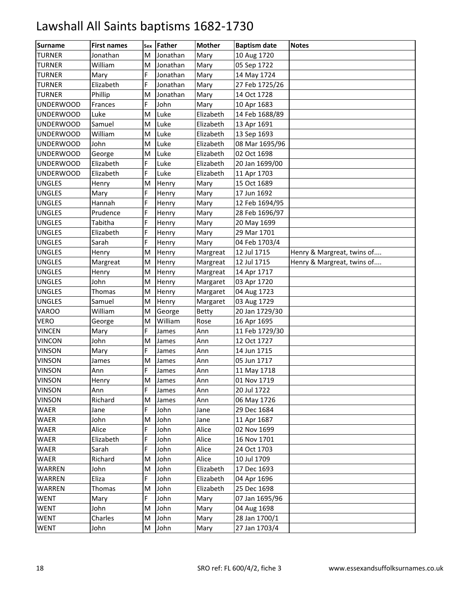| <b>Surname</b>   | <b>First names</b> | Sex | <b>Father</b> | <b>Mother</b> | <b>Baptism date</b> | <b>Notes</b>               |
|------------------|--------------------|-----|---------------|---------------|---------------------|----------------------------|
| <b>TURNER</b>    | Jonathan           | M   | Jonathan      | Mary          | 10 Aug 1720         |                            |
| <b>TURNER</b>    | William            | M   | Jonathan      | Mary          | 05 Sep 1722         |                            |
| <b>TURNER</b>    | Mary               | F   | Jonathan      | Mary          | 14 May 1724         |                            |
| <b>TURNER</b>    | Elizabeth          | F   | Jonathan      | Mary          | 27 Feb 1725/26      |                            |
| <b>TURNER</b>    | Phillip            | M   | Jonathan      | Mary          | 14 Oct 1728         |                            |
| <b>UNDERWOOD</b> | Frances            | F   | John          | Mary          | 10 Apr 1683         |                            |
| <b>UNDERWOOD</b> | Luke               | M   | Luke          | Elizabeth     | 14 Feb 1688/89      |                            |
| <b>UNDERWOOD</b> | Samuel             | M   | Luke          | Elizabeth     | 13 Apr 1691         |                            |
| <b>UNDERWOOD</b> | William            | M   | Luke          | Elizabeth     | 13 Sep 1693         |                            |
| <b>UNDERWOOD</b> | John               | M   | Luke          | Elizabeth     | 08 Mar 1695/96      |                            |
| <b>UNDERWOOD</b> | George             | M   | Luke          | Elizabeth     | 02 Oct 1698         |                            |
| <b>UNDERWOOD</b> | Elizabeth          | F   | Luke          | Elizabeth     | 20 Jan 1699/00      |                            |
| <b>UNDERWOOD</b> | Elizabeth          | F.  | Luke          | Elizabeth     | 11 Apr 1703         |                            |
| <b>UNGLES</b>    | Henry              | M   | Henry         | Mary          | 15 Oct 1689         |                            |
| <b>UNGLES</b>    | Mary               | E.  | Henry         | Mary          | 17 Jun 1692         |                            |
| <b>UNGLES</b>    | Hannah             | F   | Henry         | Mary          | 12 Feb 1694/95      |                            |
| <b>UNGLES</b>    | Prudence           | Ë   | Henry         | Mary          | 28 Feb 1696/97      |                            |
| <b>UNGLES</b>    | Tabitha            | F   | Henry         | Mary          | 20 May 1699         |                            |
| <b>UNGLES</b>    | Elizabeth          | E.  | Henry         | Mary          | 29 Mar 1701         |                            |
| <b>UNGLES</b>    | Sarah              | E.  | Henry         | Mary          | 04 Feb 1703/4       |                            |
| <b>UNGLES</b>    | Henry              | M   | Henry         | Margreat      | 12 Jul 1715         | Henry & Margreat, twins of |
| <b>UNGLES</b>    | Margreat           | M   | Henry         | Margreat      | 12 Jul 1715         | Henry & Margreat, twins of |
| <b>UNGLES</b>    | Henry              | M   | Henry         | Margreat      | 14 Apr 1717         |                            |
| <b>UNGLES</b>    | John               | M   | Henry         | Margaret      | 03 Apr 1720         |                            |
| <b>UNGLES</b>    | Thomas             | M   | Henry         | Margaret      | 04 Aug 1723         |                            |
| <b>UNGLES</b>    | Samuel             | M   | Henry         | Margaret      | 03 Aug 1729         |                            |
| <b>VAROO</b>     | William            | M   | George        | <b>Betty</b>  | 20 Jan 1729/30      |                            |
| <b>VERO</b>      | George             | M   | William       | Rose          | 16 Apr 1695         |                            |
| <b>VINCEN</b>    | Mary               | E.  | James         | Ann           | 11 Feb 1729/30      |                            |
| <b>VINCON</b>    | John               | M   | James         | Ann           | 12 Oct 1727         |                            |
| <b>VINSON</b>    | Mary               | E.  | James         | Ann           | 14 Jun 1715         |                            |
| <b>VINSON</b>    | James              | M   | James         | Ann           | 05 Jun 1717         |                            |
| <b>VINSON</b>    | Ann                | F   | James         | Ann           | 11 May 1718         |                            |
| <b>VINSON</b>    | Henry              | М   | James         | Ann           | 01 Nov 1719         |                            |
| <b>VINSON</b>    | Ann                | F.  | James         | Ann           | 20 Jul 1722         |                            |
| <b>VINSON</b>    | Richard            | M   | James         | Ann           | 06 May 1726         |                            |
| WAER             | Jane               | F   | John          | Jane          | 29 Dec 1684         |                            |
| WAER             | John               | M   | John          | Jane          | 11 Apr 1687         |                            |
| WAER             | Alice              | F   | John          | Alice         | 02 Nov 1699         |                            |
| WAER             | Elizabeth          | F   | John          | Alice         | 16 Nov 1701         |                            |
| WAER             | Sarah              | F   | John          | Alice         | 24 Oct 1703         |                            |
| WAER             | Richard            | M   | John          | Alice         | 10 Jul 1709         |                            |
| WARREN           | John               | M   | John          | Elizabeth     | 17 Dec 1693         |                            |
| WARREN           | Eliza              | F.  | John          | Elizabeth     | 04 Apr 1696         |                            |
| <b>WARREN</b>    | Thomas             | M   | John          | Elizabeth     | 25 Dec 1698         |                            |
| <b>WENT</b>      | Mary               | F.  | John          | Mary          | 07 Jan 1695/96      |                            |
| <b>WENT</b>      | John               | M   | John          | Mary          | 04 Aug 1698         |                            |
| <b>WENT</b>      | Charles            | M   | John          | Mary          | 28 Jan 1700/1       |                            |
| <b>WENT</b>      | John               | M   | John          | Mary          | 27 Jan 1703/4       |                            |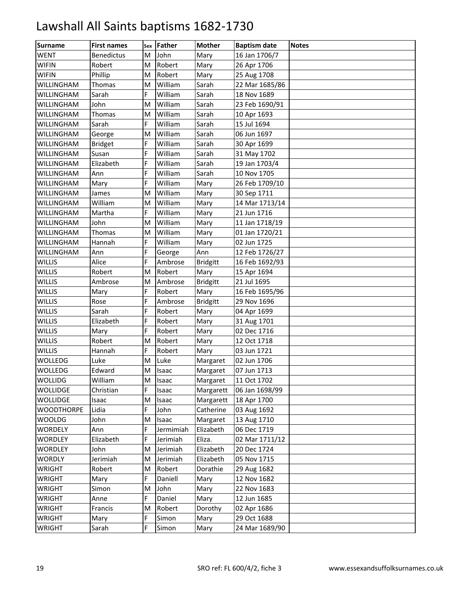| <b>Surname</b>    | <b>First names</b> | Sex | Father       | <b>Mother</b>   | <b>Baptism date</b> | <b>Notes</b> |
|-------------------|--------------------|-----|--------------|-----------------|---------------------|--------------|
| <b>WENT</b>       | <b>Benedictus</b>  | M   | John         | Mary            | 16 Jan 1706/7       |              |
| <b>WIFIN</b>      | Robert             | M   | Robert       | Mary            | 26 Apr 1706         |              |
| <b>WIFIN</b>      | Phillip            | M   | Robert       | Mary            | 25 Aug 1708         |              |
| WILLINGHAM        | Thomas             | M   | William      | Sarah           | 22 Mar 1685/86      |              |
| WILLINGHAM        | Sarah              | F.  | William      | Sarah           | 18 Nov 1689         |              |
| WILLINGHAM        | John               | M   | William      | Sarah           | 23 Feb 1690/91      |              |
| WILLINGHAM        | Thomas             | M   | William      | Sarah           | 10 Apr 1693         |              |
| <b>WILLINGHAM</b> | Sarah              | E.  | William      | Sarah           | 15 Jul 1694         |              |
| WILLINGHAM        | George             | M   | William      | Sarah           | 06 Jun 1697         |              |
| WILLINGHAM        | <b>Bridget</b>     | E.  | William      | Sarah           | 30 Apr 1699         |              |
| WILLINGHAM        | Susan              | F   | William      | Sarah           | 31 May 1702         |              |
| WILLINGHAM        | Elizabeth          | Ë   | William      | Sarah           | 19 Jan 1703/4       |              |
| <b>WILLINGHAM</b> | Ann                | E.  | William      | Sarah           | 10 Nov 1705         |              |
| WILLINGHAM        | Mary               | E.  | William      | Mary            | 26 Feb 1709/10      |              |
| WILLINGHAM        | James              | M   | William      | Mary            | 30 Sep 1711         |              |
| WILLINGHAM        | William            | M   | William      | Mary            | 14 Mar 1713/14      |              |
| WILLINGHAM        | Martha             | F.  | William      | Mary            | 21 Jun 1716         |              |
| <b>WILLINGHAM</b> | John               | M   | William      | Mary            | 11 Jan 1718/19      |              |
| WILLINGHAM        | Thomas             | M   | William      | Mary            | 01 Jan 1720/21      |              |
| WILLINGHAM        | Hannah             | E.  | William      | Mary            | 02 Jun 1725         |              |
| WILLINGHAM        | Ann                | F   | George       | Ann             | 12 Feb 1726/27      |              |
| <b>WILLIS</b>     | Alice              | Ë   | Ambrose      | <b>Bridgitt</b> | 16 Feb 1692/93      |              |
| <b>WILLIS</b>     | Robert             | M   | Robert       | Mary            | 15 Apr 1694         |              |
| <b>WILLIS</b>     | Ambrose            | M   | Ambrose      | <b>Bridgitt</b> | 21 Jul 1695         |              |
| <b>WILLIS</b>     | Mary               | E.  | Robert       | Mary            | 16 Feb 1695/96      |              |
| <b>WILLIS</b>     | Rose               | F   | Ambrose      | <b>Bridgitt</b> | 29 Nov 1696         |              |
| <b>WILLIS</b>     | Sarah              | Ë   | Robert       | Mary            | 04 Apr 1699         |              |
| <b>WILLIS</b>     | Elizabeth          | E.  | Robert       | Mary            | 31 Aug 1701         |              |
| <b>WILLIS</b>     | Mary               | E.  | Robert       | Mary            | 02 Dec 1716         |              |
| <b>WILLIS</b>     | Robert             | M   | Robert       | Mary            | 12 Oct 1718         |              |
| <b>WILLIS</b>     | Hannah             | F   | Robert       | Mary            | 03 Jun 1721         |              |
| WOLLEDG           | Luke               | M   | Luke         | Margaret        | 02 Jun 1706         |              |
| <b>WOLLEDG</b>    | Edward             | M   | <b>Isaac</b> | Margaret        | 07 Jun 1713         |              |
| <b>WOLLIDG</b>    | William            | M   | Isaac        | Margaret        | 11 Oct 1702         |              |
| <b>WOLLIDGE</b>   | Christian          | E.  | Isaac        | Margarett       | 06 Jan 1698/99      |              |
| <b>WOLLIDGE</b>   | Isaac              | M   | Isaac        | Margarett       | 18 Apr 1700         |              |
| <b>WOODTHORPE</b> | Lidia              | F   | John         | Catherine       | 03 Aug 1692         |              |
| WOOLDG            | John               | M   | Isaac        | Margaret        | 13 Aug 1710         |              |
| <b>WORDELY</b>    | Ann                | F.  | Jermimiah    | Elizabeth       | 06 Dec 1719         |              |
| <b>WORDLEY</b>    | Elizabeth          | F   | Jerimiah     | Eliza.          | 02 Mar 1711/12      |              |
| <b>WORDLEY</b>    | John               | M   | Jerimiah     | Elizabeth       | 20 Dec 1724         |              |
| <b>WORDLY</b>     | Jerimiah           | М   | Jerimiah     | Elizabeth       | 05 Nov 1715         |              |
| <b>WRIGHT</b>     | Robert             | M   | Robert       | Dorathie        | 29 Aug 1682         |              |
| <b>WRIGHT</b>     | Mary               | F.  | Daniell      | Mary            | 12 Nov 1682         |              |
| <b>WRIGHT</b>     | Simon              | M   | John         | Mary            | 22 Nov 1683         |              |
| WRIGHT            | Anne               | F   | Daniel       | Mary            | 12 Jun 1685         |              |
| <b>WRIGHT</b>     | Francis            | M   | Robert       | Dorothy         | 02 Apr 1686         |              |
| <b>WRIGHT</b>     | Mary               | F.  | Simon        | Mary            | 29 Oct 1688         |              |
| <b>WRIGHT</b>     | Sarah              | E.  | Simon        | Mary            | 24 Mar 1689/90      |              |